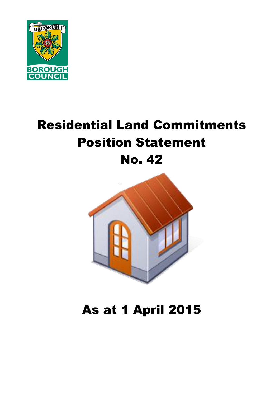

# Residential Land Commitments Position Statement No. 42



# As at 1 April 2015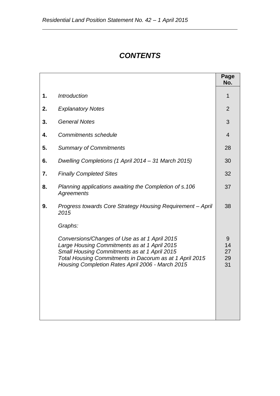# *CONTENTS*

|    |                                                                                                                                                                                                                                                                         | Page<br>No.               |
|----|-------------------------------------------------------------------------------------------------------------------------------------------------------------------------------------------------------------------------------------------------------------------------|---------------------------|
| 1. | <b>Introduction</b>                                                                                                                                                                                                                                                     | 1                         |
| 2. | <b>Explanatory Notes</b>                                                                                                                                                                                                                                                | $\overline{2}$            |
| 3. | <b>General Notes</b>                                                                                                                                                                                                                                                    | 3                         |
| 4. | <b>Commitments schedule</b>                                                                                                                                                                                                                                             | $\overline{4}$            |
| 5. | <b>Summary of Commitments</b>                                                                                                                                                                                                                                           | 28                        |
| 6. | Dwelling Completions (1 April 2014 – 31 March 2015)                                                                                                                                                                                                                     | 30                        |
| 7. | <b>Finally Completed Sites</b>                                                                                                                                                                                                                                          | 32                        |
| 8. | Planning applications awaiting the Completion of s.106<br><b>Agreements</b>                                                                                                                                                                                             | 37                        |
| 9. | Progress towards Core Strategy Housing Requirement - April<br>2015                                                                                                                                                                                                      | 38                        |
|    | Graphs:<br>Conversions/Changes of Use as at 1 April 2015<br>Large Housing Commitments as at 1 April 2015<br>Small Housing Commitments as at 1 April 2015<br>Total Housing Commitments in Dacorum as at 1 April 2015<br>Housing Completion Rates April 2006 - March 2015 | 9<br>14<br>27<br>29<br>31 |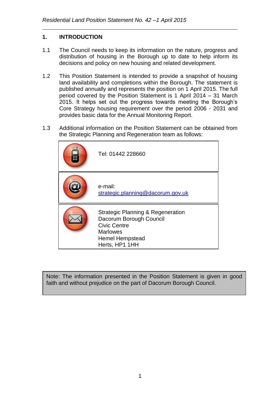### **1. INTRODUCTION**

- 1.1 The Council needs to keep its information on the nature, progress and distribution of housing in the Borough up to date to help inform its decisions and policy on new housing and related development.
- 1.2 This Position Statement is intended to provide a snapshot of housing land availability and completions within the Borough. The statement is published annually and represents the position on 1 April 2015. The full period covered by the Position Statement is 1 April 2014 – 31 March 2015. It helps set out the progress towards meeting the Borough's Core Strategy housing requirement over the period 2006 - 2031 and provides basic data for the Annual Monitoring Report.
- 1.3 Additional information on the Position Statement can be obtained from the Strategic Planning and Regeneration team as follows:

| Tel: 01442 228660                                                                                                                                             |
|---------------------------------------------------------------------------------------------------------------------------------------------------------------|
| e-mail:<br>strategic.planning@dacorum.gov.uk                                                                                                                  |
| <b>Strategic Planning &amp; Regeneration</b><br>Dacorum Borough Council<br><b>Civic Centre</b><br><b>Marlowes</b><br><b>Hemel Hempstead</b><br>Herts, HP1 1HH |

Note: The information presented in the Position Statement is given in good faith and without prejudice on the part of Dacorum Borough Council.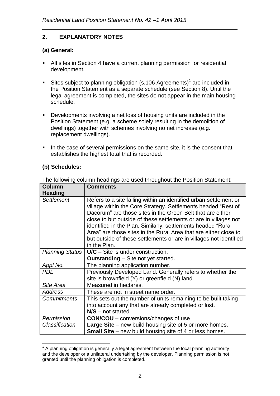### **2. EXPLANATORY NOTES**

### **(a) General:**

- All sites in Section 4 have a current planning permission for residential development.
- Sites subject to planning obligation (s.106 Agreements)<sup>1</sup> are included in the Position Statement as a separate schedule (see Section 8). Until the legal agreement is completed, the sites do not appear in the main housing schedule.
- Developments involving a net loss of housing units are included in the Position Statement (e.g. a scheme solely resulting in the demolition of dwellings) together with schemes involving no net increase (e.g. replacement dwellings).
- In the case of several permissions on the same site, it is the consent that establishes the highest total that is recorded.

### **(b) Schedules:**

| <b>Column</b><br><b>Heading</b> | <b>Comments</b>                                                                                                                                                                                                                                                                                                                                                                                                                                                                                |
|---------------------------------|------------------------------------------------------------------------------------------------------------------------------------------------------------------------------------------------------------------------------------------------------------------------------------------------------------------------------------------------------------------------------------------------------------------------------------------------------------------------------------------------|
| Settlement                      | Refers to a site falling within an identified urban settlement or<br>village within the Core Strategy. Settlements headed "Rest of<br>Dacorum" are those sites in the Green Belt that are either<br>close to but outside of these settlements or are in villages not<br>identified in the Plan. Similarly, settlements headed "Rural<br>Area" are those sites in the Rural Area that are either close to<br>but outside of these settlements or are in villages not identified<br>in the Plan. |
| <b>Planning Status</b>          | $U/C -$ Site is under construction.                                                                                                                                                                                                                                                                                                                                                                                                                                                            |
|                                 | <b>Outstanding</b> – Site not yet started.                                                                                                                                                                                                                                                                                                                                                                                                                                                     |
| Appl No.                        | The planning application number.                                                                                                                                                                                                                                                                                                                                                                                                                                                               |
| <b>PDL</b>                      | Previously Developed Land. Generally refers to whether the<br>site is brownfield (Y) or greenfield (N) land.                                                                                                                                                                                                                                                                                                                                                                                   |
| Site Area                       | Measured in hectares.                                                                                                                                                                                                                                                                                                                                                                                                                                                                          |
| <b>Address</b>                  | These are not in street name order.                                                                                                                                                                                                                                                                                                                                                                                                                                                            |
| <b>Commitments</b>              | This sets out the number of units remaining to be built taking                                                                                                                                                                                                                                                                                                                                                                                                                                 |
|                                 | into account any that are already completed or lost.                                                                                                                                                                                                                                                                                                                                                                                                                                           |
|                                 | $N/S$ – not started                                                                                                                                                                                                                                                                                                                                                                                                                                                                            |
| Permission                      | <b>CON/COU</b> – conversions/changes of use                                                                                                                                                                                                                                                                                                                                                                                                                                                    |
| Classification                  | <b>Large Site</b> – new build housing site of 5 or more homes.                                                                                                                                                                                                                                                                                                                                                                                                                                 |
|                                 | <b>Small Site</b> – new build housing site of 4 or less homes.                                                                                                                                                                                                                                                                                                                                                                                                                                 |

The following column headings are used throughout the Position Statement:

<sup>1</sup>  $1$  A planning obligation is generally a legal agreement between the local planning authority and the developer or a unilateral undertaking by the developer. Planning permission is not granted until the planning obligation is completed.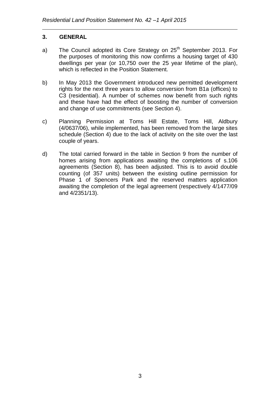#### **3. GENERAL**

- a) The Council adopted its Core Strategy on 25<sup>th</sup> September 2013. For the purposes of monitoring this now confirms a housing target of 430 dwellings per year (or 10,750 over the 25 year lifetime of the plan), which is reflected in the Position Statement.
- b) In May 2013 the Government introduced new permitted development rights for the next three years to allow conversion from B1a (offices) to C3 (residential). A number of schemes now benefit from such rights and these have had the effect of boosting the number of conversion and change of use commitments (see Section 4).
- c) Planning Permission at Toms Hill Estate, Toms Hill, Aldbury (4/0637/06), while implemented, has been removed from the large sites schedule (Section 4) due to the lack of activity on the site over the last couple of years.
- d) The total carried forward in the table in Section 9 from the number of homes arising from applications awaiting the completions of s.106 agreements (Section 8), has been adjusted. This is to avoid double counting (of 357 units) between the existing outline permission for Phase 1 of Spencers Park and the reserved matters application awaiting the completion of the legal agreement (respectively 4/1477/09 and 4/2351/13).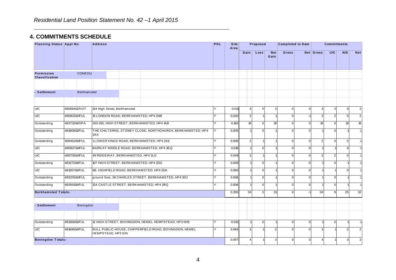### **4. COMMITMENTS SCHEDULE**

| . COMMITMENTS SCHEDULE<br>Planning Status Appl No. |                    | <b>Address</b>               |                                                            | <b>PDL</b> | <b>Site</b> |                | Proposed     |                    | <b>Completed to Date</b> |              |                | <b>Commitments</b> |                |                |
|----------------------------------------------------|--------------------|------------------------------|------------------------------------------------------------|------------|-------------|----------------|--------------|--------------------|--------------------------|--------------|----------------|--------------------|----------------|----------------|
|                                                    |                    |                              |                                                            |            | Area        | Gain           | Loss         | <b>Net</b><br>Gain | Gross                    |              | Net Gross      | U/C                | N/S            | <b>Net</b>     |
| Permission<br><b>Classification</b>                | <b>CON/COU</b>     |                              |                                                            |            |             |                |              |                    |                          |              |                |                    |                |                |
| - Settlement                                       | <b>Berkhamsted</b> |                              |                                                            |            |             |                |              |                    |                          |              |                |                    |                |                |
| U/C                                                | 4/00584/12/VOT     | 134 High Street, Berkhamsted |                                                            |            | 0.011       | 3              | $\mathbf 0$  | 3                  | $\Omega$                 | $\mathbf{0}$ | 3              | 3                  | $\overline{0}$ | $\mathbf{3}$   |
| <b>U/C</b>                                         | 4/00933/12/FUL     |                              | 15 LONDON ROAD, BERKHAMSTED, HP4 2NB                       |            | 0.020       | $\overline{2}$ |              |                    | $\Omega$                 | $-1$         | $\overline{2}$ | $\overline{2}$     | $\mathbf{0}$   | $\overline{2}$ |
| Outstanding                                        | 4/03712/14/OPA     |                              | 263-265, HIGH STREET, BERKHAMSTED, HP4 1AB                 |            | 0.160       | 19             | $\mathbf{0}$ | 19                 | $\Omega$                 | $\Omega$     | 19             | $\mathbf 0$        | 19             | 19             |
| Outstanding                                        | 4/01909/13/FUL     | 3AX                          | THE CHILTERNS, STONEY CLOSE, NORTHCHURCH, BERKHAMSTED, HP4 |            | 0.005       |                | $\Omega$     |                    | $\Omega$                 | C            |                | $\Omega$           |                |                |
| Outstanding                                        | 4/00452/14/FUL     |                              | 1LOWER KINGS ROAD, BERKHAMSTED, HP4 2AE                    |            | 0.006       | $\mathfrak{p}$ |              |                    | $\Omega$                 | $\Omega$     | $\mathcal{P}$  | $\mathbf 0$        | $\overline{2}$ |                |
| U/C                                                | 4/00937/14/FUL     |                              | BARN AT MIDDLE ROAD, BERKHAMSTED, HP4 3EQ                  |            | 0.016       |                | $\mathbf 0$  |                    | $\Omega$                 | $\Omega$     |                |                    | $\Omega$       |                |
| <b>U/C</b>                                         | 4/00706/14/FUL     |                              | 49 RIDGEWAY, BERKHAMSTED, HP4 3LD                          |            | 0.049       | 2              |              |                    | $\Omega$                 | $\Omega$     | $\mathcal{P}$  | $\overline{2}$     | $\Omega$       |                |
| Outstanding                                        | 4/01272/14/FUL     |                              | 107 HIGH STREET, BERKHAMSTED, HP4 2DG                      |            | 0.009       |                | $\mathbf 0$  |                    | $\Omega$                 | $\Omega$     |                | $\mathbf 0$        |                |                |
| U/C                                                | 4/01307/14/FUL     |                              | 6B, HIGHFIELD ROAD, BERKHAMSTED, HP4 2DA                   |            | 0.060       |                | $\mathbf 0$  |                    | $\Omega$                 | $\mathbf{0}$ |                |                    | $\overline{0}$ |                |
| Outstanding                                        | 4/03205/14/FUL     |                              | ground floor, 38 CHARLES STREET, BERKHAMSTED, HP4 3DJ      |            | 0.008       |                | $\mathbf 0$  |                    | $\Omega$                 | $\Omega$     |                | $\mathbf{0}$       |                |                |
| Outstanding                                        | 4/03591/14/FUL     |                              | 12A CASTLE STREET, BERKHAMSTED, HP4 2BQ                    |            | 0.006       |                | $\mathbf 0$  |                    | $\Omega$                 | $\Omega$     |                | $\mathbf 0$        |                |                |
| <b>Berkhamsted Totals:</b>                         |                    |                              |                                                            |            | 0.350       | 34             | $\mathbf{3}$ | 31                 | $\Omega$                 |              | 34             | 9                  | 25             | 32             |
| - Settlement                                       | Bovingdon          |                              |                                                            |            |             |                |              |                    |                          |              |                |                    |                |                |
|                                                    |                    |                              |                                                            |            |             |                |              |                    |                          |              |                |                    |                |                |
| Outstanding                                        | 4/01369/13/FUL     |                              | 12 HIGH STREET, BOVINGDON, HEMEL HEMPSTEAD, HP3 0HB        |            | 0.013       |                | $\mathbf{0}$ |                    | $\Omega$                 | $\Omega$     |                | $\mathbf 0$        |                |                |
| <b>U/C</b>                                         | 4/01699/14/FUL     | HEMPSTEAD, HP3 0JN           | BULL PUBLIC HOUSE, CHIPPERFIELD ROAD, BOVINGDON, HEMEL     |            | 0.084       |                |              | $\overline{2}$     | $\Omega$                 | $\Omega$     |                |                    | 2              |                |
| <b>Bovingdon Totals:</b>                           |                    |                              |                                                            |            | 0.097       |                |              | 3                  | U                        | $\Omega$     |                |                    | З              | 3              |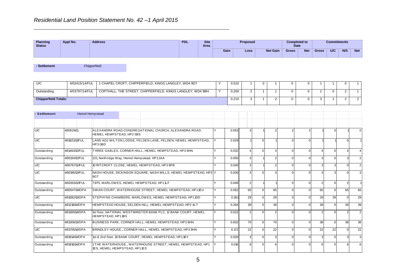| Planning<br><b>Status</b> | Appl No. | <b>Address</b> | <b>PDL</b> | <b>Site</b><br>Area |                                 | <b>Proposed</b> |  | <b>Completed to</b><br><b>Date</b> |            |       | <b>Commitments</b> |     |            |
|---------------------------|----------|----------------|------------|---------------------|---------------------------------|-----------------|--|------------------------------------|------------|-------|--------------------|-----|------------|
|                           |          |                |            |                     | Gain<br><b>Net Gain</b><br>Loss |                 |  | <b>Gross</b>                       | <b>Net</b> | Gross | <b>U/C</b>         | N/S | <b>Net</b> |

**- Settlement** Chipperfield

| U/C                                                                                         | 4/02415/14/FUL  |  |  | 1 CHAPEL CROFT, CHIPPERFIELD, KINGS LANGLEY, WD4 9DT |  |  |  | 0.010 |  |  |  |   |  |  |
|---------------------------------------------------------------------------------------------|-----------------|--|--|------------------------------------------------------|--|--|--|-------|--|--|--|---|--|--|
| COPTHALL, THE STREET, CHIPPERFIELD, KINGS LANGLEY, WD4 9BH<br>Outstanding<br>4/03797/14/FUL |                 |  |  |                                                      |  |  |  | 0.200 |  |  |  | ∼ |  |  |
| <b>Chipperfield Totals:</b>                                                                 |                 |  |  |                                                      |  |  |  | 0.210 |  |  |  |   |  |  |
|                                                                                             |                 |  |  |                                                      |  |  |  |       |  |  |  |   |  |  |
| - Settlement                                                                                | Hemel Hempstead |  |  |                                                      |  |  |  |       |  |  |  |   |  |  |
|                                                                                             |                 |  |  |                                                      |  |  |  |       |  |  |  |   |  |  |

| - Settlement | <b>Hemel Hempstead</b> |                                                                                           |       |                        |          |    |          |                        |          |                |                |
|--------------|------------------------|-------------------------------------------------------------------------------------------|-------|------------------------|----------|----|----------|------------------------|----------|----------------|----------------|
|              |                        |                                                                                           |       |                        |          |    |          |                        |          |                |                |
| <b>U/C</b>   | 4/00529/11             | ALEXANDRA ROAD CONGREGATIONAL CHURCH, ALEXANDRA ROAD,<br>HEMEL HEMPSTEAD, HP2 5BS         | 0.053 |                        |          |    |          |                        |          |                |                |
| <b>U/C</b>   | 4/01823/11/FUL         | LAND ADJ WILTON LODGE, FELDEN LANE, FELDEN, HEMEL HEMPSTEAD.<br>HP30BD                    | 0.029 |                        |          |    |          |                        |          |                |                |
| Outstanding  | 4/01463/12/FUL         | THREE GABLES, CORNER HALL, HEMEL HEMPSTEAD, HP3 9HN                                       | 0.032 | $\boldsymbol{\Lambda}$ | $\Omega$ |    | $\Omega$ | $\boldsymbol{\Lambda}$ | $\Omega$ |                | $\overline{4}$ |
| Outstanding  | 4/00134/12/FUL         | 221, Northridge Way, Hemel Hempstead, HP12AA                                              | 0.055 | $\overline{3}$         |          |    |          |                        | $\Omega$ |                | $\overline{2}$ |
| <b>U/C</b>   | 4/00767/12/FUL         | 10 RITCROFT CLOSE. HEMEL HEMPSTEAD, HP3 8PB                                               | 0.040 | $\overline{3}$         |          |    | $\Omega$ |                        | 3        |                | $\overline{2}$ |
| <b>U/C</b>   | 4/00195/13/FUL         | NASH HOUSE, DICKINSON SQUARE, NASH MILLS, HEMEL HEMPSTEAD, HP3 Y<br>9GT                   | 0.030 |                        |          |    |          |                        |          |                | 3              |
| Outstanding  | 4/02003/12/FUL         | 73/75. MARLOWES. HEMEL HEMPSTEAD. HP11LF                                                  | 0.048 | $\overline{2}$         |          |    | $\Omega$ | $\mathcal{P}$          | $\Omega$ | $\overline{2}$ |                |
| Outstanding  | 4/00547/14/OPA         | SWAN COURT, WATERHOUSE STREET, HEMEL HEMPSTEAD, HP11EU                                    | 0.062 | 65                     | ∩        | 65 | $\Omega$ | 65                     | $\Omega$ | 65             | 65             |
| <b>U/C</b>   | 4/01082/13/OPA         | STEPHYNS CHAMBERS, MARLOWES, HEMEL HEMPSTEAD, HP11DD                                      | 0.361 | 29                     | $\Omega$ | 29 | $\Omega$ | 29                     | 29       | U              | 29             |
| Outstanding  | 4/01218/14/OPA         | HEMPSTEAD HOUSE, SELDEN HILL, HEMEL HEMPSTEAD, HP2 4LT                                    | 0.264 | 39 <sup>1</sup>        |          | 39 |          | 39                     |          | 39             | 39             |
| Outstanding  | 4/01300/14/OPA         | 1st floor, NATIONAL WESTMINSTER BANK PLC, 12 BANK COURT, HEMEL<br>HEMPSTEAD, HP11BS       | 0.022 |                        |          |    |          |                        |          |                | $\overline{2}$ |
| Outstanding  | 4/01306/13/OPA         | BUSINESS PARK. CORNER HALL. HEMEL HEMPSTEAD. HP3 9HN                                      | 0.832 | <b>70</b>              | $\Omega$ | 70 | $\Omega$ | 38                     | $\Omega$ | 38             | 38             |
| U/C          | 4/01705/14/OPA         | BRINDLEY HOUSE., CORNER HALL, HEMEL HEMPSTEAD, HP3 9HN                                    | 0.172 | 22                     | $\cap$   | 22 | $\Omega$ | 22                     | 22       |                | 22             |
| Outstanding  | 4/01914/14/OPA         | 1st & 2nd floor, 10 BANK COURT, HEMEL HEMPSTEAD, HP1 1BY                                  | 0.020 | $\mathbf{3}$           | $\Omega$ |    | $\Omega$ | 3                      | $\Omega$ | 3              | 3              |
| Outstanding  | 4/01916/14/OPA         | 1THE WATERHOUSE., WATERHOUSE STREET, HEMEL HEMPSTEAD, HP1<br>1ES. HEMEL HEMPSTEAD, HP11ES | 0.016 |                        |          |    |          |                        |          |                | 6              |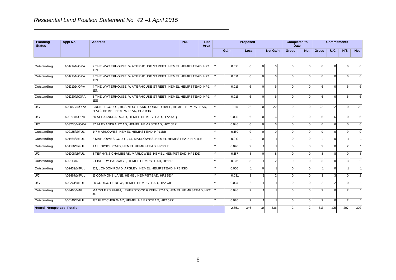| <b>Planning</b><br><b>Status</b> | Appl No.       | <b>Address</b>                                                   | <b>PDL</b> | <b>Site</b><br>Area |                                 |       | <b>Proposed</b> |          |              |            | <b>Completed to</b><br><b>Date</b> |     |     | <b>Commitments</b> |  |
|----------------------------------|----------------|------------------------------------------------------------------|------------|---------------------|---------------------------------|-------|-----------------|----------|--------------|------------|------------------------------------|-----|-----|--------------------|--|
|                                  |                |                                                                  |            |                     | Gain<br><b>Net Gain</b><br>Loss |       |                 |          | <b>Gross</b> | <b>Net</b> | <b>Gross</b>                       | U/C | N/S | <b>Net</b>         |  |
|                                  |                |                                                                  |            |                     |                                 |       |                 |          |              |            |                                    |     |     |                    |  |
| Outstanding                      | 4/01917/14/OPA | 2 THE WATERHOUSE, WATERHOUSE STREET, HEMEL HEMPSTEAD, HP1<br>1ES |            |                     |                                 | 0.016 |                 | $\Omega$ | h            |            |                                    | n.  |     | 61                 |  |

| Outstanding                    | 4/01917/14/OPA | 2 THE WATERHOUSE, WATERHOUSE STREET, HEMEL HEMPSTEAD, HP1<br><b>IES</b>                     | 0.016 |                  |                  |                  |          |                |               |                | 6              |
|--------------------------------|----------------|---------------------------------------------------------------------------------------------|-------|------------------|------------------|------------------|----------|----------------|---------------|----------------|----------------|
| Outstanding                    | 4/01918/14/OPA | 3 THE WATERHOUSE, WATERHOUSE STREET, HEMEL HEMPSTEAD, HP1<br>1ES                            | 0.014 | 6                | $\Omega$         | ĥ                | $\Omega$ | 6              | $\Omega$      |                | 6              |
| Outstanding                    | 4/01919/14/OPA | 4 THE WATERHOUSE, WATERHOUSE STREET, HEMEL HEMPSTEAD, HP1<br>1EN                            | 0.016 | $6 \mid$         | $\Omega$         | $6 \overline{6}$ | $\Omega$ | $\epsilon$     | $\Omega$      | 6              | 6              |
| Outstanding                    | 4/01920/14/OPA | 5 THE WATERHOUSE, WATERHOUSE STREET, HEMEL HEMPSTEAD, HP1<br>1ES                            | 0.016 | $6 \overline{6}$ | $\cap$           | 6                | $\Omega$ | 6              | $\Omega$      |                | 6              |
| U/C                            | 4/03050/14/OPA | BRUNEL COURT, BUSINESS PARK, CORNER HALL, HEMEL HEMPSTEAD,<br>HP39, HEMEL HEMPSTEAD, HP39HN | 0.114 | 22               | $\Omega$         | 22               | $\Omega$ | 22             | 22            |                | 22             |
| U/C                            | 4/03191/14/OPA | 60 ALEXANDRA ROAD. HEMEL HEMPSTEAD. HP2 4AQ                                                 | 0.039 | $6 \overline{6}$ | $\Omega$         | 6                | $\Omega$ | 6              | 6             | $\Omega$       | 6              |
| U/C                            | 4/03235/14/OPA | 37 ALEXANDRA ROAD, HEMEL HEMPSTEAD, HP2 5BP                                                 | 0.046 | $6 \square$      | $\Omega$         | 6                | $\Omega$ | 6              | 6             | $\Omega$       | 6              |
| Outstanding                    | 4/02185/12/FUL | 147 MARLOWES, HEMEL HEMPSTEAD, HP11BB                                                       | 0.150 | $\mathbf{Q}$     | $\Omega$         | q                | $\Omega$ | 9              | $\Omega$      | g              | 9              |
| Outstanding                    | 4/01464/13/FUL | 3 MARLOWES COURT, 67, MARLOWES, HEMEL HEMPSTEAD, HP11LE                                     | 0.010 |                  | $\Omega$         |                  | $\Omega$ |                | $\Omega$      |                |                |
| Outstanding                    | 4/01086/13/FUL | 1 ALLDICKS ROAD, HEMEL HEMPSTEAD, HP3 9JJ                                                   | 0.040 | $\mathcal{D}$    |                  |                  | $\Omega$ | っ              | $\Omega$      | 2              |                |
| <b>U/C</b>                     | 4/01208/13/FUL | STEPHYNS CHAMBERS, MARLOWES, HEMEL HEMPSTEAD, HP11DD                                        | 0.187 | 8                | $\Omega$         | 8                | $\Omega$ | 8              | 8             |                | 8              |
| Outstanding                    | 4/02112/14     | 2 FISHERY PASSAGE, HEMEL HEMPSTEAD, HP11RF                                                  | 0.031 | $\mathbf{3}$     |                  | 2                | $\Omega$ |                | $\Omega$      | 3              | $\overline{2}$ |
| Outstanding                    | 4/02439/14/FUL | 102, LONDON ROAD, APSLEY, HEMEL HEMPSTEAD, HP3 9SD                                          | 0.005 |                  | $\Omega$         |                  | $\Omega$ |                | $\Omega$      |                |                |
| <b>U/C</b>                     | 4/02467/14/FUL | 16 COMMONS LANE, HEMEL HEMPSTEAD, HP2 5EY                                                   | 0.031 | $\mathbf{3}$     |                  |                  | $\Omega$ | $\mathcal{R}$  | 3             |                | 2              |
| <b>U/C</b>                     | 4/02261/14/FUL | 20 CODICOTE ROW, HEMEL HEMPSTEAD, HP2 7JE                                                   | 0.034 | $\overline{2}$   |                  |                  | $\Omega$ | $\mathfrak{p}$ | $\mathcal{P}$ |                |                |
| Outstanding                    | 4/03460/14/FUL | MACKLERS FARM, LEVERSTOCK GREEN ROAD, HEMEL HEMPSTEAD, HP2<br>4HL                           | 0.046 | $\mathcal{P}$    |                  |                  |          |                | $\Omega$      |                |                |
| Outstanding                    | 4/00140/15/FUL | 137 FLETCHER WAY, HEMEL HEMPSTEAD, HP2 5RZ                                                  | 0.020 | $\mathcal{P}$    |                  |                  | $\Omega$ | $\overline{2}$ | $\Omega$      | $\overline{2}$ |                |
| <b>Hemel Hempstead Totals:</b> |                |                                                                                             | 2.851 | 346              | 10 <sup>10</sup> | 336              |          | 312            | 105           | 207            | 302            |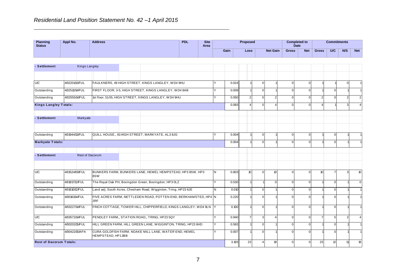| <b>Planning</b><br><b>Status</b> | Appl No. |               | <b>Address</b> |  | <b>PDL</b> | <b>Site</b><br>Area |  | Proposed |  |             |                 | <b>Completed to</b><br>Date |            | <b>Commitments</b> |     |     |            |
|----------------------------------|----------|---------------|----------------|--|------------|---------------------|--|----------|--|-------------|-----------------|-----------------------------|------------|--------------------|-----|-----|------------|
|                                  |          |               |                |  |            |                     |  | Gain     |  | <b>Loss</b> | <b>Net Gain</b> | <b>Gross</b>                | <b>Net</b> | <b>Gross</b>       | U/C | N/S | <b>Net</b> |
|                                  |          |               |                |  |            |                     |  |          |  |             |                 |                             |            |                    |     |     |            |
| - Settlement                     |          | Kings Langley |                |  |            |                     |  |          |  |             |                 |                             |            |                    |     |     |            |
|                                  |          |               |                |  |            |                     |  |          |  |             |                 |                             |            |                    |     |     |            |

| - Settlement                   | <b>Kings Langley</b>                                                                         |                                                                  |                                                                   |              |       |                  |                |          |              |          |                |                |               |                |
|--------------------------------|----------------------------------------------------------------------------------------------|------------------------------------------------------------------|-------------------------------------------------------------------|--------------|-------|------------------|----------------|----------|--------------|----------|----------------|----------------|---------------|----------------|
|                                |                                                                                              |                                                                  |                                                                   |              |       |                  |                |          |              |          |                |                |               |                |
| <b>C</b>                       | 4/02201/13/FUL                                                                               | FAULKNERS, 49 HIGH STREET, KINGS LANGLEY, WD4 9HU                |                                                                   |              | 0.024 |                  | $\overline{0}$ |          | $\Omega$     | $\Omega$ |                |                | $\Omega$      |                |
| Outstanding                    | 4/02510/14/FUL                                                                               | FIRST FLOOR, 3-5, HIGH STREET, KINGS LANGLEY, WD4 8AB            |                                                                   | V            | 0.009 |                  | $\overline{0}$ |          | <sup>0</sup> |          |                | $\Omega$       |               |                |
| Outstanding                    | 4/02555/14/FUL                                                                               | 1st floor, 51-55, HIGH STREET, KINGS LANGLEY, WD4 9HU            |                                                                   | v            | 0.050 | $\mathcal{P}$    | $\Omega$       | 2        | <sup>n</sup> |          | $\mathcal{P}$  | $\Omega$       | $\mathcal{P}$ | $\overline{2}$ |
| <b>Kings Langley Totals:</b>   |                                                                                              |                                                                  |                                                                   |              | 0.083 |                  | $\Omega$       |          | $\Omega$     |          |                |                | 3             | $\overline{4}$ |
| - Settlement                   | Markyate                                                                                     |                                                                  |                                                                   |              |       |                  |                |          |              |          |                |                |               |                |
|                                |                                                                                              |                                                                  |                                                                   |              |       |                  |                |          |              |          |                |                |               |                |
| Outstanding                    | 4/01944/13/FUL                                                                               | QUILL HOUSE,, 91 HIGH STREET, MARKYATE, AL3 8JG                  |                                                                   |              | 0.004 |                  | $\mathbf{0}$   |          | $\Omega$     |          |                | $\Omega$       |               |                |
| <b>Markyate Totals:</b>        |                                                                                              |                                                                  |                                                                   |              | 0.004 |                  | $\Omega$       |          | $\Omega$     |          |                | $\Omega$       |               |                |
|                                |                                                                                              |                                                                  |                                                                   |              |       |                  |                |          |              |          |                |                |               |                |
| - Settlement                   | <b>Rest of Dacorum</b>                                                                       |                                                                  |                                                                   |              |       |                  |                |          |              |          |                |                |               |                |
|                                |                                                                                              |                                                                  |                                                                   |              |       |                  |                |          |              |          |                |                |               |                |
| U/C                            | 4/01524/09/FUL                                                                               | BUNKERS FARM, BUNKERS LANE, HEMEL HEMPSTEAD, HP3 8SW, HP3<br>8SW |                                                                   | IN.          | 0.803 | 10 <sup>10</sup> | $\Omega$       | 10       | $\Omega$     |          | 10             | $\overline{7}$ | 3             | 10             |
| Outstanding                    | 4/01817/12/FUL                                                                               | The Royal Oak PH, Bovingdon Green, Bovingdon, HP3 0LZ            |                                                                   | $\checkmark$ | 0.530 |                  |                | $\Omega$ | $\Omega$     |          |                | $\Omega$       |               | $\mathbf 0$    |
| Outstanding                    | 4/01610/12/FUL                                                                               | Land adj. South Acres, Chesham Road, Wigginton, Tring, HP23 6JE  |                                                                   | N.           | 0.010 |                  | $\Omega$       |          | $\Omega$     |          |                | $\Omega$       |               |                |
| Outstanding                    | 4/00161/14/FUL                                                                               | 2RF                                                              | FIVE ACRES FARM, NETTLEDEN ROAD, POTTEN END, BERKHAMSTED, HP4 N   |              | 0.220 |                  | $\Omega$       |          | $\Omega$     |          |                | $\Omega$       |               |                |
| Outstanding                    | 4/03227/14/FUL                                                                               |                                                                  | FINCH COTTAGE, TOWER HILL, CHIPPERFIELD, KINGS LANGLEY, WD4 9LN Y |              | 0.100 |                  | $\Omega$       |          | $\Omega$     | $\Omega$ |                | $\Omega$       |               |                |
| <b>U/C</b>                     | 4/03572/14/FUL                                                                               | PENDLEY FARM,, STATION ROAD,, TRING, HP23 5QY                    |                                                                   | Y            | 0.940 |                  | 3              | $\Delta$ | $\Omega$     | $\Omega$ | $\overline{7}$ | 5              | $\mathcal{P}$ | $\overline{4}$ |
| Outstanding                    | 4/00202/15/FUL                                                                               | HILL GREEN FARM, HILL GREEN LANE, WIGGINTON, TRING, HP23 6HD     |                                                                   | Y            | 0.583 |                  | $\Omega$       |          | $\Omega$     |          |                | $\Omega$       |               |                |
| Outstanding                    | CURA GOLDFISH FARM, NOAKE MILL LANE, WATER END, HEMEL<br>4/00422/15/APA<br>HEMPSTEAD, HP13BB |                                                                  |                                                                   |              | 0.007 |                  | $\Omega$       |          | <sup>n</sup> | ∩        |                | $\Omega$       |               |                |
| <b>Rest of Dacorum Totals:</b> |                                                                                              |                                                                  | 3.193                                                             | 23           |       | 19               | $\Omega$       |          | 23           | 12       | 11             | 19             |               |                |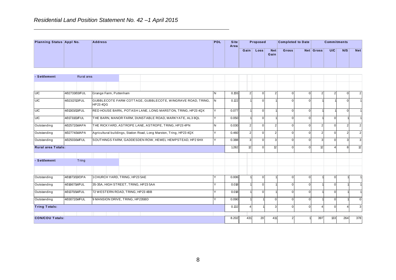**Residential Land Position Statement No. 42 – 1 April 2015**<br> **Planning Status Appl No. Address PDL** Site *Area* **Loss Net Gain Gross Net Gross U/C N/S Net Completed to Date Commitments** Gain Loss **Area P roposed - Settlement**<br> **- Settlement**<br>
Rural area

| - Settlement                                                     | Rural area     |                                      |  |                                                                     |              |       |               |              |               |          |     |                |          |                |
|------------------------------------------------------------------|----------------|--------------------------------------|--|---------------------------------------------------------------------|--------------|-------|---------------|--------------|---------------|----------|-----|----------------|----------|----------------|
|                                                                  |                |                                      |  |                                                                     |              |       |               |              |               |          |     |                |          |                |
| <b>U/C</b>                                                       | 4/02733/03/FUL | Grange Farm, Puttenham               |  |                                                                     | N.           | 0.155 | $\mathcal{P}$ | $\Omega$     | $\mathcal{P}$ | $\Omega$ |     | $\overline{2}$ | $\Omega$ | 2 <sub>l</sub> |
| <b>U/C</b>                                                       | 4/02317/12/FUL | HP23 4QG                             |  | GUBBLECOTE FARM COTTAGE, GUBBLECOTE, WINGRAVE ROAD, TRING,          | IN.          | 0.122 |               | $\Omega$     |               | ∩        |     |                |          |                |
| <b>U/C</b>                                                       | 4/01303/13/FUL |                                      |  | RED HOUSE BARN,, POTASH LANE, LONG MARSTON, TRING, HP23 4QX         | <b>V</b>     | 0.077 |               | $\mathbf{0}$ |               | $\Omega$ |     |                | $\Omega$ |                |
| <b>U/C</b>                                                       | 4/01731/13/FUL |                                      |  | THE BARN, MANOR FARM, DUNSTABLE ROAD, MARKYATE, AL3 8QL             | Y            | 0.050 |               | $\Omega$     |               |          |     | O              |          |                |
| Outstanding                                                      | 4/02572/14/APA |                                      |  | THE RICKYARD, ASTROPE LANE, ASTROPE, TRING, HP23 4PN                | N.           | 0.030 | $\mathcal{P}$ | $\Omega$     |               | $\Omega$ |     | $\Omega$       | 2        | $\overline{2}$ |
| Outstanding                                                      | 4/02774/14/APA |                                      |  | Agricultural buildings, Station Road, Long Marston, Tring, HP23 4QX | IY.          | 0.460 | 2             | $\mathbf{0}$ |               | $\Omega$ |     | $\Omega$       | 2        | 2 <sup>1</sup> |
| Outstanding                                                      | 4/02503/14/FUL |                                      |  | SOUTHINGS FARM, GADDESDEN ROW, HEMEL HEMPSTEAD, HP2 6HX             | $\vee$       | 0.388 |               | $\Omega$     |               | $\Omega$ |     | $\Omega$       |          |                |
| Rural area Totals:                                               |                |                                      |  |                                                                     |              | 1.282 | 12            | $\Omega$     | 12            | ∩        | 12  |                | 8        | 12             |
|                                                                  |                |                                      |  |                                                                     |              |       |               |              |               |          |     |                |          |                |
| - Settlement                                                     | Tring          |                                      |  |                                                                     |              |       |               |              |               |          |     |                |          |                |
|                                                                  |                |                                      |  |                                                                     |              |       |               |              |               |          |     |                |          |                |
| Outstanding                                                      | 4/01873/13/OPA | 1 CHURCH YARD, TRING, HP23 5AE       |  |                                                                     |              | 0.006 |               | $\mathbf{0}$ |               |          |     | O              |          |                |
| Outstanding                                                      | 4/01667/14/FUL | 35-35A, HIGH STREET, TRING, HP23 5AA |  |                                                                     | $\checkmark$ | 0.018 |               | $\Omega$     |               |          |     | $\Omega$       |          |                |
| Outstanding                                                      | 4/01370/14/FUL | 72 WESTERN ROAD, TRING, HP23 4BB     |  |                                                                     | Y            | 0.018 |               | $\Omega$     |               | ∩        |     | $\Omega$       |          |                |
| 9 MANSION DRIVE, TRING, HP235BD<br>4/03072/14/FUL<br>Outstanding |                |                                      |  |                                                                     | v            | 0.090 |               |              |               |          |     |                |          | $\Omega$       |
| <b>Tring Totals:</b>                                             |                |                                      |  |                                                                     |              | 0.132 |               |              | 3             | $\Omega$ |     | $\mathbf 0$    |          | 3              |
|                                                                  |                |                                      |  |                                                                     |              | 8.202 | 431           |              |               |          |     |                |          |                |
| <b>CON/COU Totals:</b>                                           |                |                                      |  |                                                                     |              |       |               | 20           | 411           |          | 397 | 133            | 264      | 378            |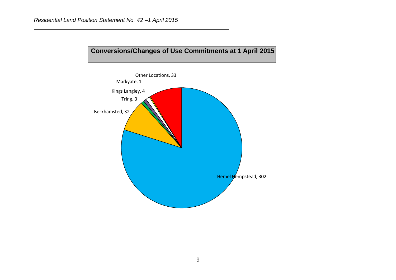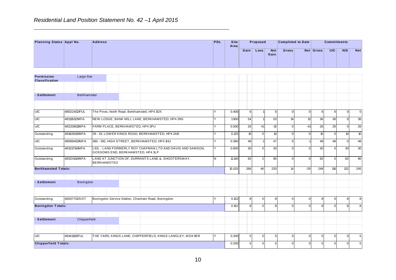| Residential Land Position Statement No. 42 -1 April 2015 |            |                |  |  |            |              |      |                   |                    |                          |           |                    |     |            |
|----------------------------------------------------------|------------|----------------|--|--|------------|--------------|------|-------------------|--------------------|--------------------------|-----------|--------------------|-----|------------|
| Planning Status Appl No.                                 |            | <b>Address</b> |  |  | <b>PDL</b> | Site<br>Area |      | Proposed          |                    | <b>Completed to Date</b> |           | <b>Commitments</b> |     |            |
|                                                          |            |                |  |  |            |              | Gain | Loss <sub>1</sub> | <b>Net</b><br>Gain | <b>Gross</b>             | Net Gross | U/C                | N/S | <b>Net</b> |
|                                                          |            |                |  |  |            |              |      |                   |                    |                          |           |                    |     |            |
| <b>Permission</b><br>Classification                      | Large Site |                |  |  |            |              |      |                   |                    |                          |           |                    |     |            |

| Y | 0.400<br>1.900                                                                                                                                                                       |             |                                                                                 |                                                                                                                                     |                                                                                                                     |              |                 |                                                                                         |              |             |
|---|--------------------------------------------------------------------------------------------------------------------------------------------------------------------------------------|-------------|---------------------------------------------------------------------------------|-------------------------------------------------------------------------------------------------------------------------------------|---------------------------------------------------------------------------------------------------------------------|--------------|-----------------|-----------------------------------------------------------------------------------------|--------------|-------------|
|   |                                                                                                                                                                                      |             |                                                                                 |                                                                                                                                     |                                                                                                                     |              |                 |                                                                                         |              |             |
|   |                                                                                                                                                                                      |             |                                                                                 |                                                                                                                                     |                                                                                                                     |              |                 |                                                                                         |              |             |
|   |                                                                                                                                                                                      |             |                                                                                 |                                                                                                                                     |                                                                                                                     |              |                 |                                                                                         |              |             |
|   |                                                                                                                                                                                      |             | 6 <sup>1</sup>                                                                  | $\sqrt{5}$                                                                                                                          | $\overline{0}$                                                                                                      | $\mathbf{0}$ | 6               | 6                                                                                       | $\mathbf 0$  | $\sqrt{5}$  |
|   |                                                                                                                                                                                      |             | 54                                                                              | 53                                                                                                                                  | 14                                                                                                                  | 13           | 36              | 36                                                                                      | $\mathbf 0$  | 36          |
|   | 0.500                                                                                                                                                                                |             | 26<br>41                                                                        | $-15$                                                                                                                               | $\mathbf{0}$                                                                                                        | $-41$        | 26              | 26                                                                                      | $\mathbf 0$  | 26          |
|   |                                                                                                                                                                                      |             |                                                                                 | 10                                                                                                                                  | $\overline{0}$                                                                                                      |              | 10 <sup>°</sup> | $\mathbf 0$                                                                             | 10           | 10          |
| Υ |                                                                                                                                                                                      |             |                                                                                 | 47                                                                                                                                  | $\Omega$                                                                                                            | -1           | 48              | 48                                                                                      | $\Omega$     | 48          |
|   |                                                                                                                                                                                      |             |                                                                                 | 30                                                                                                                                  | $\Omega$                                                                                                            |              | 30              | $\mathbf 0$                                                                             | 30           | 30          |
|   |                                                                                                                                                                                      |             |                                                                                 | 90                                                                                                                                  | $\Omega$                                                                                                            | $\Omega$     | 92              | $\mathbf 0$                                                                             | 92           | 90          |
|   |                                                                                                                                                                                      |             |                                                                                 | 220                                                                                                                                 | 14 <sub>1</sub>                                                                                                     |              | 248             | 116                                                                                     | 132          | 245         |
|   |                                                                                                                                                                                      |             |                                                                                 |                                                                                                                                     |                                                                                                                     |              |                 |                                                                                         |              |             |
|   |                                                                                                                                                                                      |             |                                                                                 | 8                                                                                                                                   | $\mathbf{0}$                                                                                                        |              | 8               | $\mathbf 0$                                                                             | 8            | $\bf8$      |
|   |                                                                                                                                                                                      |             |                                                                                 |                                                                                                                                     | $\Omega$                                                                                                            |              | 8               | $\mathbf 0$                                                                             | 8            | 8           |
|   |                                                                                                                                                                                      |             |                                                                                 |                                                                                                                                     |                                                                                                                     |              |                 |                                                                                         |              |             |
|   |                                                                                                                                                                                      |             |                                                                                 | 5                                                                                                                                   | $\overline{0}$                                                                                                      |              | 5               | $5\phantom{.0}$                                                                         | $\mathbf{0}$ | $\mathbf 5$ |
|   |                                                                                                                                                                                      |             |                                                                                 |                                                                                                                                     |                                                                                                                     |              | $5\phantom{.0}$ | $5\phantom{.0}$                                                                         | $\mathbf 0$  | $\sqrt{5}$  |
|   | LIDL - LAND FORMERLY ROY CHAPMAN LTD AND DAVIS AND SAMSON,<br>LAND AT JUNCTION OF, DURRANTS LANE &, SHOOTERSWAY,<br>THE YARD, KINGS LANE, CHIPPERFIELD, KINGS LANGLEY, WD4 9ER<br>10 | Y<br>Y<br>N | 0.125<br>0.360<br>0.600<br>11.140<br>15.025<br>0.152<br>0.152<br>0.330<br>0.330 | 10 <sup>10</sup><br>48<br>30<br>92<br>$\overline{2}$<br>266<br>8 <sup>1</sup><br>8 <sup>1</sup><br>5 <sub>5</sub><br>5 <sup>1</sup> | $\mathbf{0}$<br>$\mathbf{0}$<br>46<br>$\mathbf{0}$<br>$\Omega$<br>8<br>$\mathbf{0}$<br>$\overline{0}$<br>$\sqrt{5}$ |              | $\overline{0}$  | $\mathbf{0}$<br>$\Omega$<br>$-29$<br>$\Omega$<br>$\Omega$<br>$\Omega$<br>$\overline{0}$ |              |             |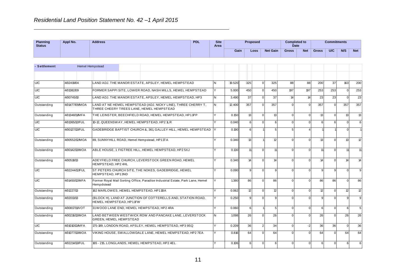| <b>Appl No.</b> | <b>Address</b> |                 |  | <b>PDL</b> | <b>Site</b><br>Area |  |      |                  |                 |                                             |     |     |                    |
|-----------------|----------------|-----------------|--|------------|---------------------|--|------|------------------|-----------------|---------------------------------------------|-----|-----|--------------------|
|                 |                |                 |  |            |                     |  |      |                  | <b>Net</b>      | <b>Gross</b>                                | U/C | N/S | Net                |
|                 |                |                 |  |            |                     |  |      |                  |                 |                                             |     |     |                    |
|                 |                |                 |  |            |                     |  |      |                  |                 |                                             |     |     |                    |
|                 |                | Hemel Hempstead |  |            |                     |  | Gain | Proposed<br>Loss | <b>Net Gain</b> | <b>Completed to</b><br>Date<br><b>Gross</b> |     |     | <b>Commitments</b> |

| - Settlement |                | <b>Hemel Hempstead</b>        |                                                                                                           |              |        |                  |               |                 |          |          |                 |              |              |     |
|--------------|----------------|-------------------------------|-----------------------------------------------------------------------------------------------------------|--------------|--------|------------------|---------------|-----------------|----------|----------|-----------------|--------------|--------------|-----|
|              |                |                               |                                                                                                           |              |        |                  |               |                 |          |          |                 |              |              |     |
| U/C          | 4/02419/04     |                               | LAND ADJ. THE MANOR ESTATE. APSLEY. HEMEL HEMPSTEAD                                                       | IN.          | 19.520 | 325              | $\Omega$      | 325             | 88       | 88       | 200             | 37           | 163          | 200 |
| U/C          | 4/01382/09     |                               | FORMER SAPPI SITE, LOWER ROAD, NASH MILLS, HEMEL HEMPSTEAD                                                | Y            | 5.000  | 450              | $\Omega$      | 450             | 197      | 197      | 253             | 253          | $\mathbf{0}$ | 253 |
| U/C          | 4/00745/10     |                               | LAND ADJ. THE MANOR ESTATE, APSLEY, HEMEL HEMPSTEAD, HP3                                                  | IN.          | 3.490  | 37               | $\Omega$      | 37              | 14       | 14       | 23              | 23           | $\mathbf{0}$ | 23  |
| Outstanding  | 4/01477/09/MOA |                               | LAND AT NE HEMEL HEMPSTEAD (ADJ. NICKY LINE), THREE CHERRY T,<br>THREE CHEERY TREES LANE. HEMEL HEMPSTEAD | IN.          | 12.400 | 357              | $\Omega$      | 357             |          |          | 357             | $\Omega$     | 357          | 357 |
| Outstanding  | 4/01348/11/MFA |                               | THE LEINSTER, BEECHFIELD ROAD, HEMEL HEMPSTEAD, HP11PP                                                    | v            | 0.150  | 13 <sup>1</sup>  | $\Omega$      | 13              | $\Omega$ |          | 13              | $\Omega$     | 13           | 13  |
| <b>U/C</b>   | 4/01365/12/FUL |                               | 10-12, QUEENSWAY, HEMEL HEMPSTEAD, HP2 1LR                                                                |              | 0.040  | $6 \overline{6}$ | $\Omega$      | 6               |          |          |                 | 6            | $\Omega$     | 6   |
| <b>U/C</b>   | 4/00127/13/FUL |                               | GADEBRIDGE BAPTIST CHURCH &, 361, GALLEY HILL, HEMEL HEMPSTEAD Y                                          |              | 0.190  | 6                |               | 5               |          |          |                 |              | $\Omega$     |     |
| Outstanding  | 4/00552/12/MOA |                               | 89, SUNNYHILL ROAD, Hemel Hempstead, HP1 TT A                                                             | $\vee$       | 0.340  | 13               |               | 12              |          |          | 13              | $\Omega$     | 13           | 12  |
| Outstanding  | 4/00142/13/MOA |                               | ABLE HOUSE, 1 FIGTREE HILL, HEMEL HEMPSTEAD, HP2 5XJ                                                      |              | 0.130  | 11               | $\Omega$      | 11              |          |          | 11              | $\Omega$     | 11           | 11  |
| Outstanding  | 4/00518/13     | HEMPSTEAD, HP2 4HL            | ADEYFIELD FREE CHURCH, LEVERSTOCK GREEN ROAD, HEMEL                                                       |              | 0.340  | 14               | $\Omega$      | 14              |          |          | 14              | $\Omega$     | 14           | 14  |
| <b>U/C</b>   | 4/02244/12/FUL | HEMPSTEAD, HP13ND             | ST PETERS CHURCH SITE, THE NOKES, GADEBRIDGE, HEMEL                                                       | v            | 0.090  | $\mathbf{Q}$     | $\Omega$      | q               |          |          |                 | $\mathbf{Q}$ | $\Omega$     | 9   |
| <b>U/C</b>   | 4/01450/12/MFA | Hempdstead                    | Former Royal Mail Sorting Office, Paradise Industrial Estate, Park Lane, Hemel                            | Y            | 1.380  | 86               | $\Omega$      | 86              | $\Omega$ |          | 86              | 86           | $\Omega$     | 86  |
| Outstanding  | 4/01227/13     |                               | 162 MARLOWES, HEMEL HEMPSTEAD, HP11BA                                                                     | Y            | 0.062  | 12               | $\Omega$      | 12              | $\Omega$ | $\Omega$ | 12 <sup>°</sup> | $\Omega$     | 12           | 12  |
| Outstanding  | 4/02013/13     | HEMEL HEMPSTEAD, HP11FW       | (BLOCK H), LAND AT JUNCTION OF COTTERELLS AND, STATION ROAD,                                              | Y            | 0.250  | q                | $\Omega$      | $\mathbf{Q}$    | $\Omega$ |          |                 | $\Omega$     | 9            | 9   |
| Outstanding  | 4/00817/11/VOT |                               | 31 WOOD LANE END, HEMEL HEMPSTEAD, HP2 4RA                                                                | $\checkmark$ | 0.060  | $6 \overline{6}$ |               | $5\overline{5}$ | $\Omega$ |          | 6               | $\Omega$     | 6            | 5   |
| Outstanding  | 4/00216/13/MOA | <b>GREEN. HEMEL HEMPSTEAD</b> | LAND BETWEEN WESTWICK ROW AND PANCAKE LANE, LEVERSTOCK                                                    | IN.          | 1.098  | 26               | $\Omega$      | 26              | $\Omega$ |          | 26              | $\Omega$     | 26           | 26  |
| <b>U/C</b>   | 4/01010/13/MFA |                               | 175-189, LONDON ROAD, APSLEY, HEMEL HEMPSTEAD, HP3 9SQ                                                    | v            | 0.209  | 36 <sup>1</sup>  | $\mathcal{P}$ | 34              | $\Omega$ | $-2$     | 36              | 36           | $\Omega$     | 36  |
| Outstanding  | 4/01077/13/MOA |                               | VIKING HOUSE. SWALLOWDALE LANE. HEMEL HEMPSTEAD. HP2 7EA                                                  | v            | 0.816  | 64               | $\Omega$      | 64              |          |          | 64              | $\Omega$     | 64           | 64  |
| Outstanding  | 4/02214/13/FUL |                               | 165 - 215, LONGLANDS, HEMEL HEMPSTEAD, HP2 4EL                                                            |              | 0.106  | $6 \overline{6}$ | $\Omega$      | 6               |          |          | 6               | $\Omega$     | 6            | 6   |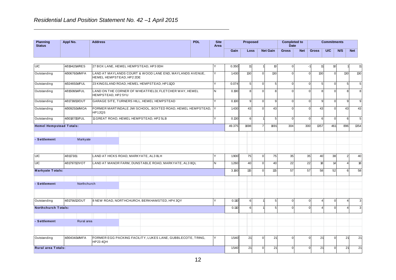| <b>Planning</b><br><b>Status</b> | Appl No.       | <b>Address</b>                        | <b>PDL</b> | <b>Site</b><br>Area |            | Proposed |                 | <b>Completed to</b><br><b>Date</b> |            |              | <b>Commitments</b> |        |            |
|----------------------------------|----------------|---------------------------------------|------------|---------------------|------------|----------|-----------------|------------------------------------|------------|--------------|--------------------|--------|------------|
|                                  |                |                                       |            |                     | Gain       | Loss     | <b>Net Gain</b> | <b>Gross</b>                       | <b>Net</b> | <b>Gross</b> | U/C                | N/S    | <b>Net</b> |
|                                  |                |                                       |            |                     |            |          |                 |                                    |            |              |                    |        |            |
| U/C                              | 4/01942/14/RES | 27 BOX LANE, HEMEL HEMPSTEAD, HP3 0DH |            |                     | 0.350      | 11 I     |                 |                                    |            | 11           | 10 I               |        |            |
|                                  | 10000001111101 | $\frac{1}{2}$                         |            | $\mathbf{1}$        | $\sqrt{2}$ | $\sim$   | $\sim$          |                                    |            | $\sim$       |                    | $\sim$ | $\sim$     |

|                         |                                                                                                                                                                                                                                                                    |             |                    |                                                                                                |                          |                                                          |  |              | valli  | Luss             |                | <b>Net Gaill</b> | ิบเบรร       | ne.      | ษเษร           | טוט         | NO.            | <b>INGL</b>      |
|-------------------------|--------------------------------------------------------------------------------------------------------------------------------------------------------------------------------------------------------------------------------------------------------------------|-------------|--------------------|------------------------------------------------------------------------------------------------|--------------------------|----------------------------------------------------------|--|--------------|--------|------------------|----------------|------------------|--------------|----------|----------------|-------------|----------------|------------------|
|                         |                                                                                                                                                                                                                                                                    |             |                    |                                                                                                |                          |                                                          |  |              |        |                  |                |                  |              |          |                |             |                |                  |
| <b>U/C</b>              | 4/01942/14/RES                                                                                                                                                                                                                                                     |             |                    |                                                                                                |                          | 27 BOX LANE, HEMEL HEMPSTEAD, HP3 0DH                    |  |              | 0.350  | 11               |                | 10               | U            |          | $1^{\circ}$    | 10          |                | 11               |
| Outstanding             | 4/00676/14/MFA                                                                                                                                                                                                                                                     |             |                    |                                                                                                | HEMEL HEMPSTEAD, HP2 2DE | LAND AT MAYLANDS COURT & WOOD LANE END, MAYLANDS AVENUE, |  | Y            | 1.430  | 130              | $\Omega$       | 130              | O            | $\Omega$ | 130            | $\Omega$    | 130            | 130              |
| Outstanding             | 4/02465/14/FUL                                                                                                                                                                                                                                                     |             |                    |                                                                                                |                          | 23 KINGSLAND ROAD, HEMEL HEMPSTEAD, HP11QD               |  | ٧            | 0.074  | 5 <sub>1</sub>   | $\Omega$       | 5                | $\Omega$     | $\Omega$ | $\overline{5}$ | $\Omega$    | 5              | 5                |
| Outstanding             | 4/01508/14/FUL                                                                                                                                                                                                                                                     |             | HEMPSTEAD, HP2 5YU |                                                                                                |                          | LAND ON THE CORNER OF WHEATFIELD/, FLETCHER WAY, HEMEL   |  | N            | 0.190  | 8                | $\Omega$       | 8                |              | $\Omega$ | 8              | $\Omega$    | 8              | 8                |
| Outstanding             |                                                                                                                                                                                                                                                                    |             |                    |                                                                                                |                          |                                                          |  | $\checkmark$ | 0.100  | 9 <sub>l</sub>   | $\mathbf{0}$   | 9                | $\Omega$     | $\Omega$ | 9              | $\mathbf 0$ | 9              | $\boldsymbol{9}$ |
| Outstanding             | 4/01738/13/OUT<br>GARAGE SITE, TURNERS HILL, HEMEL HEMPSTEAD<br>4/00925/14/MOA<br>FORMER MARTINDALE JMI SCHOOL, BOXTED ROAD, HEMEL HEMPSTEAD,<br>HP12QS<br>4/00187/15/FUL<br>11 GREAT ROAD, HEMEL HEMPSTEAD, HP2 5LB<br><b>Hemel Hempstead Totals:</b><br>Markyate |             |                    |                                                                                                |                          |                                                          |  |              | 1.430  | 43               | n              | 43               |              | $\Omega$ | 43             | ∩           | 43             | 43               |
| Outstanding             |                                                                                                                                                                                                                                                                    |             |                    |                                                                                                |                          |                                                          |  |              | 0.130  | $6 \mid$         |                | 5                | $\Omega$     | $\Omega$ | 6              | $\Omega$    | 6              | 5                |
|                         |                                                                                                                                                                                                                                                                    |             |                    |                                                                                                |                          |                                                          |  |              | 49.375 | 1698             | $\overline{7}$ | 1691             | 304          | 300      | 1357           | 461         | 896            | 1354             |
| - Settlement            |                                                                                                                                                                                                                                                                    |             |                    |                                                                                                |                          |                                                          |  |              |        |                  |                |                  |              |          |                |             |                |                  |
|                         |                                                                                                                                                                                                                                                                    |             |                    |                                                                                                |                          |                                                          |  |              |        |                  |                |                  |              |          |                |             |                |                  |
| U/C                     | 4/01173/11                                                                                                                                                                                                                                                         |             |                    | LAND AT HICKS ROAD, MARKYATE, AL3 8LH<br>LAND AT MANOR FARM, DUNSTABLE ROAD, MARKYATE, AL3 8QL |                          |                                                          |  |              | 1.900  | 75               | $\mathbf 0$    | 75               | 35           | 35       | 40             | 38          | $\overline{2}$ | 40               |
| U/C                     | 4/01797/12/VOT                                                                                                                                                                                                                                                     |             |                    |                                                                                                |                          |                                                          |  | N            | 1.260  | 40               | $\Omega$       | 40               | 22           | 22       | 18             | 14          |                | 18               |
| <b>Markyate Totals:</b> |                                                                                                                                                                                                                                                                    |             |                    |                                                                                                |                          |                                                          |  |              | 3.160  | 115              | $\mathbf{0}$   | 115              | 57           | 57       | 58             | 52          | 6              | 58               |
|                         |                                                                                                                                                                                                                                                                    |             |                    |                                                                                                |                          |                                                          |  |              |        |                  |                |                  |              |          |                |             |                |                  |
| - Settlement            |                                                                                                                                                                                                                                                                    | Northchurch |                    |                                                                                                |                          |                                                          |  |              |        |                  |                |                  |              |          |                |             |                |                  |
| Outstanding             | 4/01756/12/OUT                                                                                                                                                                                                                                                     |             |                    |                                                                                                |                          | 8 NEW ROAD, NORTHCHURCH, BERKHAMSTED, HP4 3QY            |  |              | 0.110  | $6 \mid$         |                | 5                | <sup>n</sup> | $\Omega$ | Δ              | $\Omega$    |                | 3                |
| Northchurch Totals:     |                                                                                                                                                                                                                                                                    |             |                    |                                                                                                |                          |                                                          |  |              | 0.110  | $6 \overline{6}$ |                | 5                | U            | $\Omega$ |                | $\Omega$    |                | 3                |
|                         |                                                                                                                                                                                                                                                                    |             |                    |                                                                                                |                          |                                                          |  |              |        |                  |                |                  |              |          |                |             |                |                  |
| - Settlement            |                                                                                                                                                                                                                                                                    | Rural area  |                    |                                                                                                |                          |                                                          |  |              |        |                  |                |                  |              |          |                |             |                |                  |
|                         |                                                                                                                                                                                                                                                                    |             |                    |                                                                                                |                          |                                                          |  |              |        |                  |                |                  |              |          |                |             |                |                  |
|                         | Outstanding<br>FORMER EGG PACKING FACILITY, LUKES LANE, GUBBLECOTE, TRING,<br>4/00434/14/MFA<br><b>HP23 4QH</b>                                                                                                                                                    |             |                    |                                                                                                |                          |                                                          |  |              | 1.540  | 21               | $\Omega$       | 21               |              | $\Omega$ | 21             | $\Omega$    | 21             | 21               |
| Rural area Totals:      |                                                                                                                                                                                                                                                                    |             |                    |                                                                                                |                          |                                                          |  |              | 1.540  | 21               | $\Omega$       | 21               | $\Omega$     | $\Omega$ | 21             | ∩           | 21             | 21               |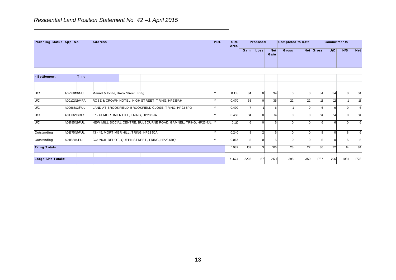|                          |       |                | Residential Land Position Statement No. 42 -1 April 2015 |            |                     |      |          |             |                          |           |                    |     |            |
|--------------------------|-------|----------------|----------------------------------------------------------|------------|---------------------|------|----------|-------------|--------------------------|-----------|--------------------|-----|------------|
| Planning Status Appl No. |       | <b>Address</b> |                                                          | <b>PDL</b> | <b>Site</b><br>Area |      | Proposed |             | <b>Completed to Date</b> |           | <b>Commitments</b> |     |            |
|                          |       |                |                                                          |            |                     | Gain | Loss     | Net<br>Gain | <b>Gross</b>             | Net Gross | U/C                | N/S | <b>Net</b> |
|                          |       |                |                                                          |            |                     |      |          |             |                          |           |                    |     |            |
| - Settlement             | Tring |                |                                                          |            |                     |      |          |             |                          |           |                    |     |            |
|                          |       |                |                                                          |            |                     |      |          |             |                          |           |                    |     |            |

|                      |                |                                         |                                         |                                                                   |   |        | Gain $ $         | Loss           | <b>Net</b><br>Gain | Gross          |                | Net Gross        | U/C             | N/S             | Net        |
|----------------------|----------------|-----------------------------------------|-----------------------------------------|-------------------------------------------------------------------|---|--------|------------------|----------------|--------------------|----------------|----------------|------------------|-----------------|-----------------|------------|
| - Settlement         | Tring          |                                         |                                         |                                                                   |   |        |                  |                |                    |                |                |                  |                 |                 |            |
|                      |                |                                         |                                         |                                                                   |   |        |                  |                |                    |                |                |                  |                 |                 |            |
| <b>U/C</b>           | 4/02168/06/FUL | Maund & Irvine, Brook Street, Tring     |                                         |                                                                   | Y | 0.155  | 34               | $\mathbf 0$    | 34                 | $\overline{0}$ | $\overline{0}$ | 34               | 34              | $\mathbf 0$     | 34         |
| <b>C</b>             | 4/00102/13/MFA |                                         |                                         | ROSE & CROWN HOTEL, HIGH STREET, TRING, HP235AH                   | Y | 0.470  | 35               | $\mathbf{0}$   | 35                 | 22             | 22             | 13               | 12              |                 | ಚ          |
| U/C                  | 4/00665/13/FUL |                                         |                                         | LAND AT BROOKFIELD, BROOKFIELD CLOSE, TRING, HP23 5PD             | Y | 0.490  | $\overline{7}$   |                | $6 \overline{6}$   |                | $\mathbf{0}$   | $6\phantom{.}6$  | $6 \overline{}$ | $\mathbf 0$     | $\,6\,$    |
| <b>U/C</b>           | 4/01806/13/RES | 37 - 41, MORTIMER HILL, TRING, HP23 5JA |                                         |                                                                   | Y | 0.450  | 14               | $\mathbf 0$    | 14                 | $\overline{0}$ | $\overline{0}$ | 14               | 14              | $\overline{0}$  | 14         |
| <b>U/C</b>           | 4/01785/12/FUL |                                         |                                         | NEW MILL SOCIAL CENTRE, BULBOURNE ROAD, GAMNEL, TRING, HP23 4JL Y |   | 0.110  | $6 \overline{6}$ | $\Omega$       | $6 \overline{6}$   | $\Omega$       | $\overline{0}$ | $6 \overline{6}$ | $6\overline{6}$ | $\overline{0}$  | $\,6$      |
| Outstanding          | 4/01875/14/FUL |                                         | 43 - 45, MORTIMER HILL, TRING, HP23 5JA |                                                                   | Y | 0.240  | 8 <sup>1</sup>   | $\overline{2}$ | $6 \overline{6}$   | $\overline{0}$ | $\overline{0}$ | 8                | $\mathbf 0$     | 8               | $\,6$      |
| Outstanding          | 4/01155/14/FUL |                                         |                                         | COUNCIL DEPOT, QUEEN STREET, TRING, HP23 6BQ                      | Y | 0.067  | 5 <sup>1</sup>   | $\mathbf{0}$   | 5 <sup>1</sup>     | $\overline{0}$ | $\overline{0}$ | 5 <sub>5</sub>   | $\mathbf 0$     | $5\overline{)}$ | $\sqrt{5}$ |
| <b>Tring Totals:</b> |                |                                         |                                         |                                                                   |   | 1.982  | 109              | $\mathbf{3}$   | 106                | 23             | 22             | 86               | 72              | 14              | 84         |
| Large Site Totals:   |                |                                         |                                         |                                                                   |   | 71.674 | 2228             | 57             | 2171               | 398            | 350            | 1787             | 706             | 1081            | 1778       |
|                      |                |                                         |                                         |                                                                   |   |        |                  |                |                    |                |                |                  |                 |                 |            |
|                      |                |                                         |                                         |                                                                   |   |        |                  |                |                    |                |                |                  |                 |                 |            |
|                      |                |                                         |                                         | 13                                                                |   |        |                  |                |                    |                |                |                  |                 |                 |            |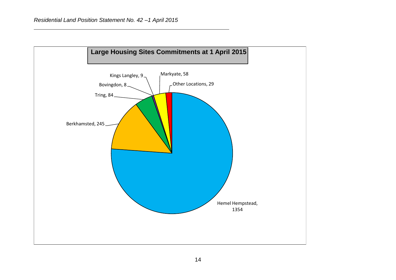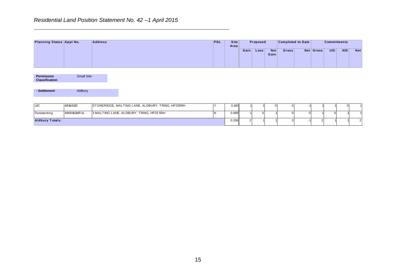| Residential Land Position Statement No. 42 -1 April 2015 |                   |                |                                                   |  |    |                |             |                |                |                    |             |                          |                |                    |             |                |
|----------------------------------------------------------|-------------------|----------------|---------------------------------------------------|--|----|----------------|-------------|----------------|----------------|--------------------|-------------|--------------------------|----------------|--------------------|-------------|----------------|
| Planning Status Appl No.                                 |                   | <b>Address</b> |                                                   |  |    | PDL            | <b>Site</b> |                | Proposed       |                    |             | <b>Completed to Date</b> |                | <b>Commitments</b> |             |                |
|                                                          |                   |                |                                                   |  |    |                | Area        |                | Gain Loss      | <b>Net</b><br>Gain | Gross       |                          | Net Gross      | U/C                | N/S         | <b>Net</b>     |
| <b>Permission</b><br>Classification                      | <b>Small Site</b> |                |                                                   |  |    |                |             |                |                |                    |             |                          |                |                    |             |                |
| - Settlement                                             | Aldbury           |                |                                                   |  |    |                |             |                |                |                    |             |                          |                |                    |             |                |
| <b>U/C</b>                                               | 4/01641/12        |                | STONERIDGE, MALTING LANE, ALDBURY, TRING, HP235RH |  |    | Y              | 0.140       |                |                | $\mathbf 0$        | $\mathbf 0$ | -1                       |                |                    | $\mathbf 0$ |                |
| Outstanding                                              | 4/00016/14/FUL    |                | 3 MALTING LANE, ALDBURY, TRING, HP23 5RH          |  |    | $\overline{N}$ | 0.069       |                | $\overline{0}$ |                    | $\mathbf 0$ | $\mathbf 0$              |                | $\mathbf 0$        |             |                |
| <b>Aldbury Totals:</b>                                   |                   |                |                                                   |  |    |                | 0.209       | $\overline{2}$ |                |                    | $\mathbf 0$ | 41                       | $\overline{2}$ |                    |             | $\overline{2}$ |
|                                                          |                   |                |                                                   |  |    |                |             |                |                |                    |             |                          |                |                    |             |                |
|                                                          |                   |                |                                                   |  | 15 |                |             |                |                |                    |             |                          |                |                    |             |                |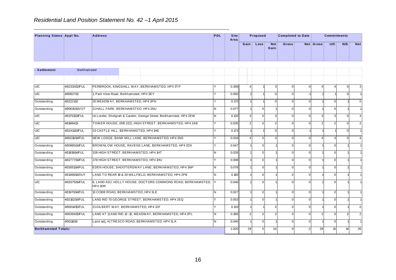| <b>PDL</b> |      |      |                                       |              |                          |     |           |                    |
|------------|------|------|---------------------------------------|--------------|--------------------------|-----|-----------|--------------------|
|            | Gain |      |                                       |              |                          | U/C | N/S       | <b>Net</b>         |
|            |      |      |                                       |              |                          |     |           |                    |
|            | Area | Site | Proposed<br>Loss <sub>1</sub><br>Gain | Net<br>Gross | <b>Completed to Date</b> |     | Net Gross | <b>Commitments</b> |

|                            |                    |                                         |                                                                     |     |       | Gain             | Loss           | <b>Net</b><br>Gain | Gross        |                | <b>Net Gross</b> | U/C            | N/S         | <b>Net</b>     |
|----------------------------|--------------------|-----------------------------------------|---------------------------------------------------------------------|-----|-------|------------------|----------------|--------------------|--------------|----------------|------------------|----------------|-------------|----------------|
| - Settlement               | <b>Berkhamsted</b> |                                         |                                                                     |     |       |                  |                |                    |              |                |                  |                |             |                |
|                            |                    |                                         |                                                                     |     |       |                  |                |                    |              |                |                  |                |             |                |
| U/C                        | 4/02330/12/FUL     |                                         | PERBROOK, KINGSHILL WAY, BERKHAMSTED, HP4 3TP                       |     | 0.358 | $\overline{4}$   |                | $\mathbf{3}$       | $\mathbf 0$  | $\overline{0}$ | Δ                | $\overline{4}$ | $\mathbf 0$ | 3              |
| U/C                        | 4/00927/12         | 1, Park View Road, Berkhamsted, HP4 3EY |                                                                     | v   | 0.050 |                  |                | $\mathbf 0$        | $\mathbf 0$  | $-1$           |                  |                | $\mathbf 0$ | $\overline{1}$ |
| Outstanding                | 4/02221/12         | 20 MEADWAY, BERKHAMSTED, HP4 2PN        |                                                                     | Y   | 0.170 |                  |                | $\Omega$           | $\mathbf{0}$ | $\Omega$       |                  | $\Omega$       |             | $\mathbf 0$    |
| Outstanding                | 4/00615/13/VOT     | 21 HALL PARK, BERKHAMSTED, HP4 2NU      |                                                                     | IN. | 0.077 |                  | $\overline{0}$ |                    | $\mathbf 0$  | $\overline{0}$ |                  | $\mathbf 0$    |             | $\overline{1}$ |
| U/C                        | 4/01751/13/FUL     |                                         | r/o Lorelei, Shelgrah & Carden, George Street, Berkhamsted, HP4 2EW | IN. | 0.120 | $\overline{3}$   | $\Omega$       | $\mathbf{3}$       | $\mathbf{0}$ | $\Omega$       | 3                | 3              | $\Omega$    | 3              |
| U/C                        | 4/01884/13         |                                         | TOWER HOUSE, (R/O 222), HIGH STREET, BERKHAMSTED, HP4 2AB           | Y   | 0.035 | $2 \overline{2}$ | $\mathbf 0$    | $\overline{2}$     | $\mathbf{0}$ | $\overline{0}$ | $\overline{2}$   | $\overline{2}$ | $\mathbf 0$ | $\overline{2}$ |
| U/C                        | 4/02411/13/FUL     | 23 CASTLE HILL, BERKHAMSTED, HP4 1HE    |                                                                     | Y   | 0.173 |                  |                | $\Omega$           | $\mathbf 0$  | $-1$           |                  |                | $\Omega$    | $\overline{1}$ |
| U/C                        | 4/00216/14/FUL     |                                         | NEW LODGE, BANK MILL LANE, BERKHAMSTED, HP4 2NS                     | Y   | 0.034 | $\overline{4}$   | $\overline{0}$ | 4                  | $\mathbf{0}$ | $\overline{0}$ | $\Delta$         | $\overline{4}$ | $\mathbf 0$ | $\overline{4}$ |
| Outstanding                | 4/00985/14/FUL     |                                         | BROWNLOW HOUSE, RAVENS LANE, BERKHAMSTED, HP4 2DX                   | Y   | 0.047 |                  | $\overline{0}$ |                    | $\mathbf 0$  | $\overline{0}$ |                  | $\mathbf 0$    |             | $\overline{1}$ |
| Outstanding                | 4/01819/14/FUL     | 328 HIGH STREET, BERKHAMSTED, HP4 1HT   |                                                                     | N   | 0.026 |                  | $\overline{0}$ |                    | $\mathbf{0}$ | $\Omega$       |                  | $\Omega$       |             | $\overline{1}$ |
| Outstanding                | 4/02777/14/FUL     | 378 HIGH STREET, BERKHAMSTED, HP4 1HU   |                                                                     | Y   | 0.008 |                  | $\overline{0}$ |                    | $\mathbf{0}$ | $\mathbf{0}$   |                  | $\Omega$       |             | $\overline{1}$ |
| Outstanding                | 4/03051/14/FUL     |                                         | EDEN HOUSE, SHOOTERSWAY LANE, BERKHAMSTED, HP4 3NP                  | N   | 0.078 |                  | $\mathbf{0}$   |                    | $\mathbf{0}$ | $\Omega$       |                  | $\Omega$       |             |                |
| Outstanding                | 4/01369/14/OUT     |                                         | LAND TO REAR 18 & 20 MILLFIELD, BERKHAMSTED, HP4 2PB                | IN. | 0.160 |                  | $\overline{0}$ |                    | $\mathbf 0$  | $\overline{0}$ |                  | $\mathbf 0$    |             | $\overline{1}$ |
| U/C                        | 4/03375/14/FUL     | HP4 3DR                                 | 6, LAND ADJ. HOLLY HOUSE, DOCTORS COMMONS ROAD, BERKHAMSTED, Y      |     | 0.046 |                  | $\Omega$       |                    | $\Omega$     | $\Omega$       |                  | $\Omega$       |             |                |
| Outstanding                | 4/01970/14/FUL     | 13 COBB ROAD, BERKHAMSTED, HP4 3LE      |                                                                     | N   | 0.027 |                  | $\mathbf 0$    |                    | $\mathbf 0$  | $\overline{0}$ |                  | $\mathbf 0$    |             | $\overline{1}$ |
| Outstanding                | 4/02162/14/FUL     |                                         | LAND R/O 70 GEORGE STREET, BERKHAMSTED, HP4 2EQ                     | Y   | 0.053 |                  | $\overline{0}$ |                    | $\mathbf{0}$ | $\Omega$       |                  | $\Omega$       |             | $\overline{1}$ |
| Outstanding                | 4/00014/15/FUL     | 21 GILBERT WAY, BERKHAMSTED, HP4 3JF    |                                                                     | Y   | 0.133 |                  |                | $\overline{0}$     | $\mathbf 0$  | $\overline{0}$ |                  | $\mathbf 0$    |             | $\mathbf 0$    |
| Outstanding                | 4/00394/15/FUL     |                                         | LAND AT 11 AND R/O 13 - 15, MEADWAY, BERKHAMSTED, HP4 2PL           | N   | 0.385 | 2 <sup>1</sup>   | $\mathbf 0$    | $\overline{2}$     | $\mathbf{0}$ | $\Omega$       | $\mathfrak{p}$   | $\Omega$       | 2           | $\overline{2}$ |
| Outstanding                | 4/00116/14         |                                         | Land adj, 41TRESCO ROAD, BERKHAMSTED, HP4 3LA                       | IN. | 0.040 |                  | $\overline{0}$ |                    | $\mathbf 0$  | $\overline{0}$ |                  | $\mathbf 0$    |             | $\overline{1}$ |
| <b>Berkhamsted Totals:</b> |                    |                                         |                                                                     |     | 2.020 | 29               | 5              | 24                 | $\mathbf 0$  | $-2$           | 29               | 15             | 14          | 26             |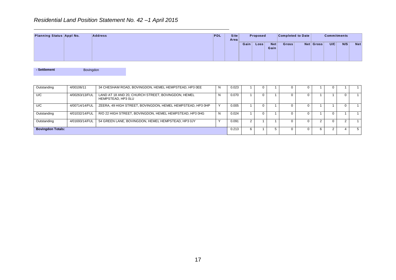|                          | Residential Land Position Statement No. 42 -1 April 2015 |            |                     |      |             |             |                          |           |                    |     |            |
|--------------------------|----------------------------------------------------------|------------|---------------------|------|-------------|-------------|--------------------------|-----------|--------------------|-----|------------|
| Planning Status Appl No. | <b>Address</b>                                           | <b>PDL</b> | <b>Site</b><br>Area |      | Proposed    |             | <b>Completed to Date</b> |           | <b>Commitments</b> |     |            |
|                          |                                                          |            |                     | Gain | <b>Loss</b> | Net<br>Gain | <b>Gross</b>             | Net Gross | U/C                | N/S | <b>Net</b> |

| - Settlement | Bovingdon |
|--------------|-----------|
|              |           |

|                          |                |                                                                          |                |       | Gain           | Loss           | <b>Net</b><br>Gain | Gross          |                | <b>Net Gross</b> | U/C            | N/S            | Net             |
|--------------------------|----------------|--------------------------------------------------------------------------|----------------|-------|----------------|----------------|--------------------|----------------|----------------|------------------|----------------|----------------|-----------------|
| - Settlement             | Bovingdon      |                                                                          |                |       |                |                |                    |                |                |                  |                |                |                 |
| Outstanding              | 4/00106/11     | 34 CHESHAM ROAD, BOVINGDON, HEMEL HEMPSTEAD, HP3 OEE                     | N              | 0.023 | $\mathbf{1}$   | $\overline{0}$ | $\mathbf{1}$       | $\overline{0}$ | $\mathbf 0$    | $\mathbf{1}$     | $\overline{0}$ | $\mathbf{1}$   | $\mathbf{1}$    |
| U/C                      | 4/00263/13/FUL | LAND AT 18 AND 20, CHURCH STREET, BOVINGDON, HEMEL<br>HEMPSTEAD, HP3 OLU | N              | 0.070 | $\overline{1}$ | $\overline{0}$ | $\overline{1}$     | $\overline{0}$ | $\overline{0}$ | $\mathbf{1}$     | $\overline{1}$ | $\overline{0}$ | $\mathbf{1}$    |
| U/C                      | 4/00714/14/FUL | ZEERA, 49 HIGH STREET, BOVINGDON, HEMEL HEMPSTEAD, HP3 0HP               | Y              | 0.005 | $\mathbf{1}$   | $\mathbf 0$    | $\mathbf{1}$       | $\mathbf 0$    | $\mathbf 0$    | $\mathbf{1}$     | $\mathbf{1}$   | $\overline{0}$ | $\mathbf{1}$    |
| Outstanding              | 4/01032/14/FUL | R/O 22 HIGH STREET, BOVINGDON, HEMEL HEMPSTEAD, HP3 0HG                  | $\overline{N}$ | 0.024 | $\overline{1}$ | $\overline{0}$ | $\mathbf{1}$       | $\overline{0}$ | $\overline{0}$ | $\mathbf{1}$     | $\overline{0}$ | $\mathbf{1}$   | $\mathbf{1}$    |
| Outstanding              | 4/01693/14/FUL | 54 GREEN LANE, BOVINGDON, HEMEL HEMPSTEAD, HP3 0JY                       | Y              | 0.091 | $\overline{2}$ | $\mathbf{1}$   | $\mathbf{1}$       | $\mathbf 0$    | $\overline{0}$ | $\overline{2}$   | $\overline{0}$ | $\overline{2}$ | $\mathbf{1}$    |
| <b>Bovingdon Totals:</b> |                |                                                                          |                | 0.213 | 6              | $\mathbf{1}$   | $5\phantom{.0}$    | $\mathbf 0$    | $\mathbf 0$    | 6                | $\overline{2}$ | $\overline{4}$ | $5\overline{)}$ |
|                          |                |                                                                          |                |       |                |                |                    |                |                |                  |                |                |                 |
|                          |                | 17                                                                       |                |       |                |                |                    |                |                |                  |                |                |                 |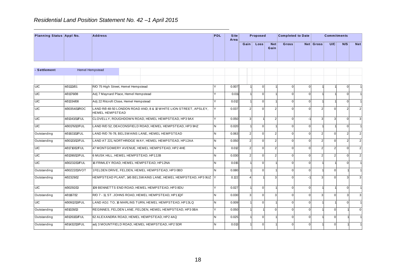| Residential Land Position Statement No. 42 -1 April 2015 |                        |  |  |  |            |              |      |                   |             |                          |           |                    |     |            |
|----------------------------------------------------------|------------------------|--|--|--|------------|--------------|------|-------------------|-------------|--------------------------|-----------|--------------------|-----|------------|
| Planning Status Appl No.                                 | <b>Address</b>         |  |  |  | <b>PDL</b> | Site<br>Area |      | Proposed          |             | <b>Completed to Date</b> |           | <b>Commitments</b> |     |            |
|                                                          |                        |  |  |  |            |              | Gain | Loss <sub>1</sub> | Net<br>Gain | Gross                    | Net Gross | U/C                | N/S | <b>Net</b> |
| - Settlement                                             | <b>Hemel Hempstead</b> |  |  |  |            |              |      |                   |             |                          |           |                    |     |            |
|                                                          |                        |  |  |  |            |              |      |                   |             |                          |           |                    |     |            |

|              |                |                                        |                                                                   |          |       | Gain           | Loss           | <b>Net</b><br>Gain | Gross        |                | <b>Net Gross</b> | U/C            | N/S            | <b>Net</b>     |
|--------------|----------------|----------------------------------------|-------------------------------------------------------------------|----------|-------|----------------|----------------|--------------------|--------------|----------------|------------------|----------------|----------------|----------------|
|              |                | Hemel Hempstead                        |                                                                   |          |       |                |                |                    |              |                |                  |                |                |                |
| - Settlement |                |                                        |                                                                   |          |       |                |                |                    |              |                |                  |                |                |                |
| <b>U/C</b>   | 4/01113/01     | R/O 75 High Street, Hemel Hempstead    |                                                                   |          | 0.007 |                | $\overline{0}$ |                    | $\mathbf 0$  | $\overline{0}$ |                  |                | $\mathbf 0$    | $\overline{1}$ |
| <b>U/C</b>   | 4/01176/08     | Adj 7 Maynard Place, Hemel Hempstead   |                                                                   | Y        | 0.011 |                | $\mathbf{0}$   |                    | $\Omega$     | $\mathbf{0}$   |                  |                | $\mathsf 0$    | $\overline{1}$ |
| U/C          | 4/01334/08     | Adj 22 Ritcroft Close, Hemel Hempstead |                                                                   | Υ        | 0.012 |                | $\overline{0}$ |                    | $\Omega$     | $\Omega$       |                  |                | $\mathbf 0$    | $\overline{1}$ |
| <b>U/C</b>   | 4/00354/11/ROC | <b>HEMEL HEMPSTEAD</b>                 | LAND R/0 48-50 LONDON ROAD AND, 8 & 10 WHITE LION STREET, APSLEY, | Y        | 0.037 | $\mathfrak{p}$ | $\mathbf{0}$   | $\overline{2}$     | $\Omega$     | $\Omega$       |                  | $\mathbf 0$    | $\overline{2}$ | $\overline{2}$ |
| U/C          | 4/01343/11/FUL |                                        | CLOVELLY, ROUGHDOWN ROAD, HEMEL HEMPSTEAD, HP3 9AX                | Y        | 0.050 | 3              |                | 2                  | $\Omega$     | $-1$           | 3                | $\mathbf{3}$   | $\mathbf 0$    | 3              |
| U/C          | 4/00176/12/FUL |                                        | LAND R/O 52, DEACONSFIELD ROAD, HEMEL HEMPSTEAD, HP3 9HZ          | N.       | 0.020 |                | $\overline{0}$ |                    | $\mathbf 0$  | $\overline{0}$ |                  |                | $\mathbf 0$    | $\overline{1}$ |
| Outstanding  | 4/01921/11/FUL |                                        | LAND R/O 76-78, BELSWAINS LANE, HEMEL HEMPSTEAD                   | IN.      | 0.063 | $\overline{2}$ | $\overline{0}$ | $\overline{2}$     | $\Omega$     | $\mathbf{0}$   | $\mathcal{P}$    | $\Omega$       | $\overline{2}$ | $\overline{2}$ |
| Outstanding  | 4/00133/12/FUL |                                        | LAND AT 221, NORTHRIDGE WAY, HEMEL HEMPSTEAD, HP12AA              | <b>N</b> | 0.050 | $\overline{2}$ | $\mathbf{0}$   | $\overline{2}$     | $\mathbf{0}$ | $\Omega$       | $\mathfrak{p}$   | $\mathbf 0$    | $\overline{2}$ | $\overline{2}$ |
| <b>U/C</b>   | 4/01710/12/FUL |                                        | 47 MONTGOMERY AVENUE, HEMEL HEMPSTEAD, HP2 4HE                    | IN.      | 0.012 | $\overline{2}$ | $\overline{0}$ | $\overline{2}$     | $\mathbf{0}$ | $\Omega$       | $\overline{2}$   | $\overline{2}$ | $\mathbf 0$    | $\overline{2}$ |
| <b>U/C</b>   | 4/01390/12/FUL | 6 MUSK HILL, HEMEL HEMPSTEAD, HP12JB   |                                                                   | <b>N</b> | 0.030 | $\overline{2}$ | $\mathbf{0}$   | 2                  | $\Omega$     | $\mathbf{0}$   | $\mathcal{P}$    | $\overline{2}$ | $\mathsf 0$    | $\overline{2}$ |
| <b>U/C</b>   | 4/00232/13/FUL |                                        | 16 FRIMLEY ROAD, HEMEL HEMPSTEAD, HP12NA                          | IN.      | 0.015 |                | $\overline{0}$ |                    | $\mathbf{0}$ | $\Omega$       |                  |                | $\mathbf 0$    | $\overline{1}$ |
| Outstanding  | 4/00222/13/VOT |                                        | 1FELDEN DRIVE, FELDEN, HEMEL HEMPSTEAD, HP3 0BD                   | IN.      | 0.080 |                | $\overline{0}$ |                    | $\mathbf{0}$ | $\overline{0}$ |                  | $\mathbf 0$    |                | $\overline{1}$ |
| Outstanding  | 4/02329/12     |                                        | HEMPSTEAD PLANT, 145 BELSWAINS LANE, HEMEL HEMPSTEAD, HP3 9UZ Y   |          | 0.122 |                |                | 3                  | $\Omega$     |                | 3                | $\mathbf 0$    | 3              | 3              |
| U/C          | 4/00292/13     |                                        | 109 BENNETTS END ROAD, HEMEL HEMPSTEAD, HP3 8DU                   | Υ        | 0.027 |                | $\mathbf 0$    |                    | $\mathbf 0$  | $\overline{0}$ |                  |                | $\mathbf 0$    | $\overline{1}$ |
| Outstanding  | 4/01167/12     |                                        | R/O 7 - 11, ST. JOHNS ROAD, HEMEL HEMPSTEAD, HP11QF               | N.       | 0.030 | 3              | $\Omega$       | 3                  | $\Omega$     | $\Omega$       | 3                | $\Omega$       | 3              | 3              |
| U/C          | 4/00912/13/FUL |                                        | LAND ADJ. TO, 16 MARLINS TURN, HEMEL HEMPSTEAD, HP13LQ            | IN.      | 0.009 |                | $\mathbf 0$    |                    | $\mathbf 0$  | $\mathbf{0}$   |                  |                | $\mathbf 0$    | $\overline{1}$ |
| Outstanding  | 4/01028/13     |                                        | REGINNES, FELDEN LANE, FELDEN, HEMEL HEMPSTEAD, HP3 0BA           | Y        | 0.050 |                |                | $\Omega$           | $\mathbf{0}$ | $\Omega$       |                  | $\Omega$       |                | $\mathbf 0$    |
| Outstanding  | 4/01261/13/FUL |                                        | 62 ALEXANDRA ROAD, HEMEL HEMPSTEAD, HP2 4AQ                       | N        | 0.025 |                | $\mathbf 0$    |                    | $\Omega$     | $\Omega$       |                  | $\Omega$       |                | $\overline{1}$ |
| Outstanding  | 4/01432/13/FUL |                                        | adj 3 MOUNTFIELD ROAD, HEMEL HEMPSTEAD, HP2 5DR                   | N.       | 0.013 |                | $\mathbf{0}$   |                    | $\Omega$     | $\Omega$       |                  | $\Omega$       |                | $\overline{1}$ |
|              |                |                                        | 18                                                                |          |       |                |                |                    |              |                |                  |                |                |                |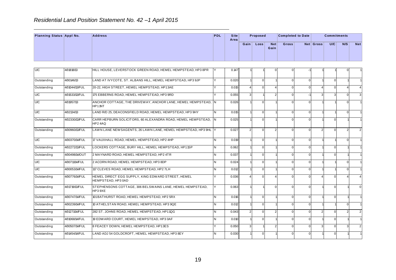|                          |            | Residential Land Position Statement No. 42 -1 April 2015    |            |              |      |          |             |                          |           |                    |     |            |
|--------------------------|------------|-------------------------------------------------------------|------------|--------------|------|----------|-------------|--------------------------|-----------|--------------------|-----|------------|
| Planning Status Appl No. |            | <b>Address</b>                                              | <b>PDL</b> | Site<br>Area |      | Proposed |             | <b>Completed to Date</b> |           | <b>Commitments</b> |     |            |
|                          |            |                                                             |            |              | Gain | Loss     | Net<br>Gain | <b>Gross</b>             | Net Gross | U/C                | N/S | <b>Net</b> |
|                          |            |                                                             |            |              |      |          |             |                          |           |                    |     |            |
| U/C                      | 4/01818/13 | HILL HOUSE, LEVERSTOCK GREEN ROAD, HEMEL HEMPSTEAD, HP3 8PR | Y.         | 0.147        |      |          |             |                          |           |                    |     |            |

|             |                |                                                                          |          |       | Gain           | Loss           | <b>Net</b><br>Gain     | Gross        |                | <b>Net Gross</b> | U/C      | N/S            | Net            |
|-------------|----------------|--------------------------------------------------------------------------|----------|-------|----------------|----------------|------------------------|--------------|----------------|------------------|----------|----------------|----------------|
| U/C         | 4/01818/13     | HILL HOUSE, LEVERSTOCK GREEN ROAD, HEMEL HEMPSTEAD, HP3 8PR              | l٧       | 0.147 |                |                |                        | $\Omega$     |                |                  |          |                |                |
|             |                |                                                                          |          |       |                |                |                        |              |                |                  |          |                |                |
| Outstanding | 4/00146/13     | LAND AT IVYCOTE, ST. ALBANS HILL, HEMEL HEMPSTEAD, HP3 9JP               | Y        | 0.020 |                | $\mathbf{0}$   |                        | $\mathbf 0$  | $\Omega$       |                  | $\Omega$ |                |                |
| Outstanding | 4/01044/13/FUL | 20-22. HIGH STREET. HEMEL HEMPSTEAD. HP13AE                              | $\vee$   | 0.015 | $\overline{4}$ | $\Omega$       | $\overline{A}$         | $\mathbf{0}$ | $\Omega$       | $\Delta$         | $\Omega$ | $\overline{4}$ | 4              |
| <b>U/C</b>  | 4/01533/13/FUL | 175 EBBERNS ROAD, HEMEL HEMPSTEAD, HP3 9RD                               | <b>Y</b> | 0.055 | $\overline{3}$ |                | $\overline{2}$         | $\mathbf 0$  |                | 3                | 3        | $\mathbf 0$    | 3              |
| U/C         | 4/01957/13     | ANCHOR COTTAGE, THE DRIVEWAY, ANCHOR LANE, HEMEL HEMPSTEAD, IN<br>HP11NT |          | 0.026 |                | $\Omega$       |                        | $\Omega$     | $\Omega$       |                  |          | $\Omega$       |                |
| <b>U/C</b>  | 4/02134/13     | LAND R/O 25, DEACONSFIELD ROAD, HEMEL HEMPSTEAD, HP3 9HY                 | N        | 0.015 |                | $\overline{0}$ |                        | $\mathsf 0$  | $\mathbf{0}$   |                  |          | $\mathbf 0$    | $\overline{1}$ |
| Outstanding | 4/02330/13/FUL | CARR HEPBURN SOLICITORS, 60 ALEXANDRA ROAD, HEMEL HEMPSTEAD,<br>HP24AQ   | IN.      | 0.025 |                | $\Omega$       |                        | $\mathbf{0}$ | $\Omega$       |                  | $\Omega$ |                | -1             |
| Outstanding | 4/00960/13/FUL | LAWN LANE NEW SAGENTS, 26 LAWN LANE, HEMEL HEMPSTEAD, HP3 9HL Y          |          | 0.027 | 2 <sub>1</sub> | $\overline{0}$ | $\overline{2}$         | $\mathbf 0$  | $\Omega$       | $\overline{2}$   | $\Omega$ | $\overline{2}$ | $\overline{2}$ |
| <b>U/C</b>  | 4/00370/14/FUL | 17 VAUXHALL ROAD, HEMEL HEMPSTEAD, HP2 4HP                               | N.       | 0.019 |                | $\Omega$       |                        | $\Omega$     | $\Omega$       |                  |          | $\Omega$       | -1             |
| Outstanding | 4/02272/13/FUL | LOCKERS COTTAGE, BURY HILL, HEMEL HEMPSTEAD, HP11SP                      | N.       | 0.062 |                | $\Omega$       |                        | $\Omega$     | $\Omega$       |                  | $\Omega$ |                |                |
| Outstanding | 4/00498/14/OUT | 2 MAYNARD ROAD, HEMEL HEMPSTEAD, HP2 4TR                                 | N.       | 0.037 |                | $\overline{0}$ |                        | $\mathbf 0$  | $\mathbf{0}$   |                  | $\Omega$ |                | $\overline{1}$ |
| <b>U/C</b>  | 4/00711/14/FUL | 2 ACORN ROAD, HEMEL HEMPSTEAD, HP3 8DP                                   | N.       | 0.024 |                | $\Omega$       |                        | $\mathbf 0$  | $\Omega$       |                  |          | $\Omega$       | -1             |
| <b>U/C</b>  | 4/00053/14/FUL | 117 CLEVES ROAD, HEMEL HEMPSTEAD, HP2 7LH                                | N        | 0.012 |                | $\overline{0}$ |                        | $\mathbf{0}$ | $\overline{0}$ |                  |          | $\mathbf 0$    | $\overline{1}$ |
| Outstanding | 4/00776/14/FUL | HEMEL DIRECT EGG SUPPLY, KING EDWARD STREET, HEMEL<br>HEMPSTEAD, HP3 0AD | Y        | 0.036 | $\overline{4}$ | $\Omega$       | $\boldsymbol{\Lambda}$ | $\Omega$     | $\Omega$       |                  | $\Omega$ | $\overline{4}$ | $\overline{4}$ |
| Outstanding | 4/01719/13/FUL | STEPHENSONS COTTAGE, 306 BELSWAINS LANE, HEMEL HEMPSTEAD,<br>HP3 9XE     |          | 0.063 |                |                | $\Omega$               | $\Omega$     | $\Omega$       |                  | $\Omega$ |                | $\Omega$       |
| Outstanding | 4/00747/14/FUL | 101 BATHURST ROAD, HEMEL HEMPSTEAD, HP2 5RX                              | N.       | 0.016 |                | $\overline{0}$ |                        | $\mathbf 0$  | $\Omega$       |                  | $\Omega$ |                |                |
| Outstanding | 4/00239/14/FUL | 10 ATHELSTAN ROAD, HEMEL HEMPSTEAD, HP3 9QE                              | N.       | 0.012 |                | $\Omega$       |                        | $\mathbf 0$  | $\Omega$       |                  |          | $\Omega$       | $\overline{1}$ |
| Outstanding | 4/01271/14/FUL | 282 ST. JOHNS ROAD, HEMEL HEMPSTEAD, HP11QG                              | N.       | 0.043 | $\overline{2}$ | $\Omega$       | $\overline{2}$         | $\mathbf 0$  | $\Omega$       | $\overline{2}$   | $\Omega$ | $\sqrt{2}$     | $\overline{2}$ |
| Outstanding | 4/01068/14/FUL | 19 EDWARD COURT, HEMEL HEMPSTEAD, HP3 0AF                                | N        | 0.010 |                | $\Omega$       |                        | $\mathbf 0$  | $\Omega$       |                  | $\Omega$ |                | $\overline{1}$ |
| Outstanding | 4/00507/14/FUL | 8 FEACEY DOWN, HEMEL HEMPSTEAD, HP13ES                                   |          | 0.050 | $\overline{3}$ |                | $\overline{2}$         | $\mathbf 0$  | $\Omega$       | 3                | $\Omega$ | 3              | $\overline{2}$ |
|             |                | LAND ADJ 54 GOLDCROFT, HEMEL HEMPSTEAD, HP3 8EY                          | N        | 0.030 |                | $\overline{0}$ |                        | $\mathbf 0$  | $\mathbf{0}$   |                  | $\Omega$ |                |                |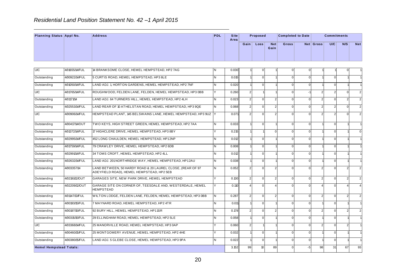|                          | Residential Land Position Statement No. 42 -1 April 2015 |            |                     |      |          |             |                          |           |                    |     |            |
|--------------------------|----------------------------------------------------------|------------|---------------------|------|----------|-------------|--------------------------|-----------|--------------------|-----|------------|
| Planning Status Appl No. | <b>Address</b>                                           | <b>PDL</b> | <b>Site</b><br>Area |      | Proposed |             | <b>Completed to Date</b> |           | <b>Commitments</b> |     |            |
|                          |                                                          |            |                     | Gain | Loss     | Net<br>Gain | Gross                    | Net Gross | U/C                | N/S | <b>Net</b> |

|                                |                |                                                                                                         |    |       | Gain           | Loss             | <b>Net</b><br>Gain | Gross          |                | <b>Net Gross</b> | U/C            | N/S            | Net            |
|--------------------------------|----------------|---------------------------------------------------------------------------------------------------------|----|-------|----------------|------------------|--------------------|----------------|----------------|------------------|----------------|----------------|----------------|
| U/C                            | 4/01655/14/FUL | 14 BRANKSOME CLOSE, HEMEL HEMPSTEAD, HP2 7AG                                                            | N  | 0.030 |                | $\mathbf{0}$     |                    | $\mathbf{0}$   | $\mathbf{0}$   |                  |                | $\Omega$       |                |
| Outstanding                    | 4/00922/14/FUL | 5 CURTIS ROAD, HEMEL HEMPSTEAD, HP3 8LE                                                                 | N. | 0.015 |                | $\Omega$         |                    | $\mathbf{0}$   | $\Omega$       |                  | $\Omega$       |                |                |
|                                |                |                                                                                                         |    |       |                |                  |                    |                |                |                  |                |                |                |
| Outstanding                    | 4/01050/14/FUL | LAND ADJ. 1, HORTON GARDENS, HEMEL HEMPSTEAD, HP2 7NF                                                   | N. | 0.020 |                | $\Omega$         |                    | $\overline{0}$ | $\overline{0}$ |                  | $\mathbf 0$    |                | -1             |
| <b>U/C</b>                     | 4/01765/14/FUL | ROUGHWOOD, FELDEN LANE, FELDEN, HEMEL HEMPSTEAD, HP3 0BB                                                | Y  | 0.260 | $\overline{2}$ |                  |                    | $\Omega$       |                | $\mathcal{P}$    | $\mathcal{P}$  | $\Omega$       | $\overline{2}$ |
| Outstanding                    | 4/01171/14     | LAND ADJ. 64 TURNERS HILL, HEMEL HEMPSTEAD, HP2 4LH                                                     | N. | 0.023 | $\overline{2}$ | $\overline{0}$   | $\overline{2}$     | $\mathbf{0}$   | $\Omega$       | $\overline{2}$   | $\Omega$       | $\overline{2}$ | $\overline{2}$ |
| Outstanding                    | 4/02553/14/FUL | LAND REAR OF 10 ATHELSTAN ROAD. HEMEL HEMPSTEAD, HP3 9QE                                                | N. | 0.068 | 2 <sup>1</sup> | $\Omega$         | $\mathfrak{p}$     | $\Omega$       | $\Omega$       | $\mathcal{P}$    | $\mathfrak{p}$ | $\Omega$       | $\overline{2}$ |
| U/C                            | 4/00906/14/FUL | HEMPSTEAD PLANT, 145 BELSWAINS LANE, HEMEL HEMPSTEAD, HP3 9UZ Y                                         |    | 0.071 | 2 <sub>l</sub> | $\Omega$         | $\mathfrak{p}$     | $\mathbf{0}$   | $\Omega$       |                  | $\mathfrak{p}$ | $\Omega$       | $\overline{2}$ |
| Outstanding                    | 4/00417/14/OUT | TWO KEYS, HIGH STREET GREEN, HEMEL HEMPSTEAD, HP2 7AA                                                   | N. | 0.033 |                | $\overline{0}$   |                    | $\mathbf{0}$   | $\Omega$       |                  | $\Omega$       |                | -1             |
| Outstanding                    | 4/01372/14/FUL | 17 HIGHCLERE DRIVE, HEMEL HEMPSTEAD, HP3 8BY                                                            | ΙY | 0.215 |                |                  | $\Omega$           | $\overline{0}$ | $\Omega$       |                  | $\Omega$       |                | $\mathbf 0$    |
| Outstanding                    | 4/02995/14/FUL | 452 LONG CHAULDEN, HEMEL HEMPSTEAD, HP12NP                                                              | N  | 0.012 |                | $\Omega$         |                    | $\mathbf{0}$   | $\Omega$       |                  | $\Omega$       |                |                |
| Outstanding                    | 4/01759/14/FUL | 79 CRAWLEY DRIVE, HEMEL HEMPSTEAD, HP2 6DB                                                              | N  | 0.008 |                | $\Omega$         |                    | $\overline{0}$ | $\Omega$       |                  | $\Omega$       |                |                |
| Outstanding                    | 4/02991/14/FUL | 34 TOMS CROFT, HEMEL HEMPSTEAD, HP2 4LL                                                                 | N. | 0.012 |                | $\Omega$         |                    | $\mathbf{0}$   | $\Omega$       |                  | $\Omega$       |                |                |
| Outstanding                    | 4/02632/14/FUL | LAND ADJ. 201NORTHRIDGE WAY, HEMEL HEMPSTEAD, HP12AU                                                    | N. | 0.038 |                | $\overline{0}$   |                    | $\mathbf{0}$   | $\Omega$       |                  | $\Omega$       |                | $\overline{1}$ |
| Outstanding                    | 4/003357/14    | LAND BETWEEN, 50 HARDY ROAD & 20 LAUREL CLOSE, (REAR OF 97<br>ADEYFIELD ROAD), HEMEL HEMPSTEAD, HP2 5EB | N. | 0.052 | 2 <sub>1</sub> | $\overline{0}$   | $\mathfrak{p}$     | $\mathbf{0}$   | U              | $\mathcal{P}$    | $\Omega$       | $\mathcal{P}$  | $\overline{2}$ |
| Outstanding                    | 4/02191/12/OUT | GARAGES SITE, NEW PARK DRIVE, HEMEL HEMPSTEAD                                                           | Y  | 0.130 | 2 <sub>1</sub> | $\overline{0}$   | 2 <sub>l</sub>     | $\mathbf{0}$   | $\Omega$       | 2 <sub>l</sub>   | $\Omega$       | $\overline{2}$ | $\overline{2}$ |
| Outstanding                    | 4/02209/12/OUT | GARAGE SITE ON CORNER OF, TEESDALE AND, WESTERDALE, HEMEL<br><b>HEMPSTEAD</b>                           | Y  | 0.110 | $\overline{4}$ | $\Omega$         | $\Delta$           | $\Omega$       | $\Omega$       | $\overline{a}$   | $\Omega$       | $\overline{4}$ | 4              |
| Outstanding                    | 4/01147/13/FUL | WILTON LODGE, FELDEN LANE, FELDEN, HEMEL HEMPSTEAD, HP3 0BB                                             | N. | 0.287 | $\overline{2}$ | $\Omega$         | $\overline{2}$     | $\Omega$       | $\Omega$       | $\overline{2}$   | $\Omega$       | $\mathcal{P}$  | $\overline{2}$ |
| Outstanding                    | 4/00193/15/FUL | 7 MAYNARD ROAD, HEMEL HEMPSTEAD, HP2 4TR                                                                | N  | 0.011 |                | $\overline{0}$   |                    | $\mathbf{0}$   | $\Omega$       |                  | $\Omega$       |                |                |
| Outstanding                    | 4/00197/15/FUL | 92 BURY HILL, HEMEL HEMPSTEAD, HP11SR                                                                   | N. | 0.178 | $\overline{2}$ | $\overline{0}$   | $\overline{2}$     | $\overline{0}$ | $\overline{0}$ | 2 <sub>l</sub>   | $\mathbf 0$    | 2              | $\overline{2}$ |
| Outstanding                    | 4/00315/15/FUL | 29 ELLINGHAM ROAD, HEMEL HEMPSTEAD, HP2 5LE                                                             | N. | 0.058 |                | $\overline{0}$   |                    | $\mathbf{0}$   | $\Omega$       |                  | $\Omega$       |                | -1             |
| <b>U/C</b>                     | 4/03368/14/FUL | 25 MANORVILLE ROAD, HEMEL HEMPSTEAD, HP3 0AP                                                            | Y  | 0.060 | $\overline{2}$ |                  |                    | $\mathbf{0}$   | $\overline{0}$ | 2 <sub>l</sub>   | $\Omega$       | $\overline{2}$ | -1             |
| Outstanding                    | 4/00460/15/FUL | 25 MONT GOMERY AVENUE, HEMEL HEMPSTEAD, HP2 4HE                                                         | Y  | 0.032 | $\mathbf{1}$   | $\Omega$         |                    | $\mathbf{0}$   | $\Omega$       |                  | $\Omega$       |                | $\overline{1}$ |
| Outstanding                    | 4/00380/15/FUL | LAND ADJ. 5 GLEBE CLOSE, HEMEL HEMPSTEAD, HP3 9PA                                                       | N. | 0.022 |                | $\overline{0}$   |                    | $\mathbf{0}$   | $\overline{0}$ |                  | $\mathbf 0$    |                |                |
| <b>Hemel Hempstead Totals:</b> |                |                                                                                                         |    | 3.152 | 99             | 10 <sup>10</sup> | 89                 | $\Omega$       | $-5$           | 98               | 31             | 67             | 93             |
|                                |                | 20                                                                                                      |    |       |                |                  |                    |                |                |                  |                |                |                |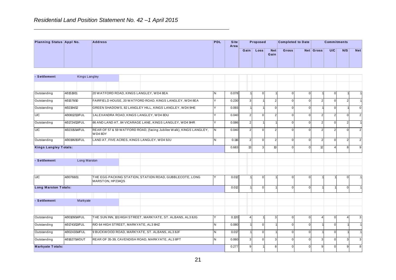|                          |               |                | Residential Land Position Statement No. 42 -1 April 2015 |            |                |      |                   |                    |                          |           |                    |     |            |
|--------------------------|---------------|----------------|----------------------------------------------------------|------------|----------------|------|-------------------|--------------------|--------------------------|-----------|--------------------|-----|------------|
| Planning Status Appl No. |               | <b>Address</b> |                                                          | <b>PDL</b> | Site  <br>Area |      | Proposed          |                    | <b>Completed to Date</b> |           | <b>Commitments</b> |     |            |
|                          |               |                |                                                          |            |                | Gain | Loss <sub>1</sub> | <b>Net</b><br>Gain | <b>Gross</b>             | Net Gross | U/C                | N/S | <b>Net</b> |
|                          |               |                |                                                          |            |                |      |                   |                    |                          |           |                    |     |            |
| - Settlement             | Kings Langley |                |                                                          |            |                |      |                   |                    |                          |           |                    |     |            |
|                          |               |                |                                                          |            |                |      |                   |                    |                          |           |                    |     |            |

|                              |                      |                  |                                                                     |                |       | Gain           | Loss         | <b>Net</b><br>Gain | Gross          |                | Net Gross      | U/C            | N/S            | Net              |
|------------------------------|----------------------|------------------|---------------------------------------------------------------------|----------------|-------|----------------|--------------|--------------------|----------------|----------------|----------------|----------------|----------------|------------------|
| - Settlement                 | <b>Kings Langley</b> |                  |                                                                     |                |       |                |              |                    |                |                |                |                |                |                  |
|                              |                      |                  |                                                                     |                |       |                |              |                    |                |                |                |                |                |                  |
| Outstanding                  | 4/01519/11           |                  | 20 WATFORD ROAD, KINGS LANGLEY, WD4 8EA                             | <b>N</b>       | 0.078 |                | $\mathbf{0}$ |                    | $\overline{0}$ | $\overline{0}$ |                | $\mathbf 0$    |                |                  |
| Outstanding                  | 4/01578/10           |                  | FAIRFIELD HOUSE, 20 WATFORD ROAD, KINGS LANGLEY, WD4 8EA            | Y              | 0.230 | $\mathbf{3}$   |              | $\overline{2}$     | $\Omega$       | $\Omega$       | $\mathfrak{p}$ | $\Omega$       | $\overline{2}$ |                  |
| Outstanding                  | 4/02194/12           |                  | GREEN SHADOWS, 82 LANGLEY HILL, KINGS LANGLEY, WD4 9HE              | Y              | 0.093 |                |              | $\mathbf 0$        | $\Omega$       | $\overline{0}$ |                | $\mathbf 0$    |                | $\mathbf 0$      |
| <b>U/C</b>                   | 4/00812/13/FUL       |                  | 1ALEXANDRA ROAD, KINGS LANGLEY, WD4 8DU                             | Y              | 0.040 | 2 <sup>1</sup> | $\Omega$     | $\overline{2}$     | $\mathbf{0}$   | $\Omega$       | 2              | 2              | $\mathbf{0}$   | $\overline{2}$   |
| Outstanding                  | 4/01724/13/FUL       |                  | 86 AND LAND AT, 84 VICARAGE LANE, KINGS LANGLEY, WD4 9HR            | Y              | 0.086 | 2 <sup>1</sup> |              |                    | U              | $\Omega$       | $\mathfrak{p}$ | $\Omega$       | $\overline{2}$ | $\mathbf{1}$     |
| U/C                          | 4/02315/14/FUL       | WD48DY           | REAR OF 57 & 59 WATFORD ROAD, (facing Jubilee Walk), KINGS LANGLEY, | IN.            | 0.040 | $\mathcal{P}$  | $\Omega$     | 2                  | U              | $\Omega$       | 2              | $\overline{2}$ | $\Omega$       | $\overline{2}$   |
| Outstanding                  | 4/00196/15/FUL       |                  | LAND AT, FIVE ACRES, KINGS LANGLEY, WD4 9JU                         | N              | 0.116 | $\overline{2}$ | $\Omega$     | $\overline{2}$     | $\Omega$       | $\Omega$       | 2              | $\mathbf 0$    | $\overline{2}$ | $\overline{2}$   |
| <b>Kings Langley Totals:</b> |                      |                  |                                                                     |                | 0.683 | 13             | 3            | 10                 | $\overline{0}$ | $\Omega$       | 12             | $\overline{4}$ | 8              | $\boldsymbol{9}$ |
| - Settlement                 | Long Marston         |                  |                                                                     |                |       |                |              |                    |                |                |                |                |                |                  |
| <b>U/C</b>                   | 4/00768/11           | MARSTON, HP234QS | THE EGG PACKING STATION, STATION ROAD, GUBBLECOTE, LONG             |                | 0.012 |                | $\Omega$     |                    | 0              | $\Omega$       |                |                | $\Omega$       |                  |
| Long Marston Totals:         |                      |                  |                                                                     |                | 0.012 |                | $\Omega$     |                    | $\Omega$       | $\Omega$       |                |                | $\Omega$       |                  |
| - Settlement                 | Markyate             |                  |                                                                     |                |       |                |              |                    |                |                |                |                |                |                  |
| Outstanding                  | 4/00109/14/FUL       |                  | THE SUN INN, 101 HIGH STREET, MARKYATE, ST. ALBANS, AL3 8JG         |                | 0.120 | $\Delta$       |              | 3                  | $\mathbf{0}$   | $\Omega$       |                | $\mathbf 0$    | 4              | $\mathbf{3}$     |
| Outstanding                  | 4/01743/13/FUL       |                  | R/O 64 HIGH STREET, MARKYATE, AL3 8HZ                               | $\overline{N}$ | 0.080 |                | $\mathbf 0$  |                    | $\overline{0}$ | $\overline{0}$ |                | $\mathbf 0$    |                |                  |
| Outstanding                  | 4/00243/14/FUL       |                  | 9 BUCKWOOD ROAD, MARKYATE, ST. ALBANS, AL3 8JF                      | N              | 0.017 |                | $\mathbf{0}$ |                    | $\mathbf{0}$   | $\mathbf{0}$   |                | $\mathbf 0$    |                |                  |
| Outstanding                  | 4/01627/14/OUT       |                  | REAR OF 35-39, CAVENDISH ROAD, MARKYATE, AL3 8PT                    | N              | 0.060 | 3              | $\Omega$     | 3                  | $\Omega$       | $\Omega$       | 3              | $\Omega$       | $\overline{3}$ | 3                |
| <b>Markyate Totals:</b>      |                      |                  |                                                                     |                | 0.277 | 9              |              | 8                  | $\mathbf{0}$   | $\Omega$       | $\mathbf{Q}$   | $\mathbf 0$    | 9              | 8                |
|                              |                      |                  | 21                                                                  |                |       |                |              |                    |                |                |                |                |                |                  |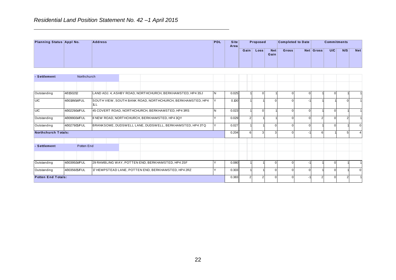**Residential Land Position Statement No. 42 – 1 April 2015**<br> **Planning Status Appl No. Address PDL** Site *Area* **Gain Gross Net Gross U/C N/S Net Completed to Date Commitments** Gain Loss **Area P roposed - Settlement** Northchurch<br> **- Settlement** 

| - Settlement<br>Northchurch<br>4/01502/12<br>Outstanding<br>LAND ADJ. 4, ASHBY ROAD, NORTHCHURCH, BERKHAMSTED, HP4 3SJ<br>IN.<br>0.025<br>$\overline{0}$<br>$\mathbf{0}$<br>$\Omega$<br>$\mathbf{0}$<br><b>U/C</b><br>SOUTH VIEW, SOUTH BANK ROAD, NORTHCHURCH, BERKHAMSTED, HP4<br>4/00199/14/FUL<br>Y<br>0.100<br>$\Omega$<br>$\mathbf{0}$<br>$\mathbf{0}$<br>1LL<br>U/C<br>4/00229/14/FUL<br>45 COVERT ROAD, NORTHCHURCH, BERKHAMSTED, HP4 3RS<br>N.<br>0.023<br>$\mathbf{0}$<br>$\mathbf 0$<br>$\mathbf 0$<br>$\Omega$<br>Outstanding<br>4/00990/14/FUL<br>8 NEW ROAD, NORTHCHURCH, BERKHAMSTED, HP4 3QY<br>Y<br>0.029<br>$\overline{2}$<br>$\overline{2}$<br>$\mathbf 0$<br>$\overline{2}$<br>$\overline{0}$<br>$\Omega$<br>BRANKSOME, DUDSWELL LANE, DUDSWELL, BERKHAMSTED, HP4 3TQ<br>Outstanding<br>4/00279/15/FUL<br>lY.<br>0.027<br>$\mathbf{0}$<br>$\mathbf 0$<br>$\Omega$<br>$\Omega$<br>Northchurch Totals:<br>0.204<br>$6 \mid$<br>3<br>3<br>$\overline{0}$<br>6<br>5 <sub>5</sub><br>- Settlement<br>Potten End<br>4/00395/14/FUL<br>29 RAMBLING WAY, POTTEN END, BERKHAMSTED, HP4 2SF<br>Outstanding<br>0.080<br>Y<br>$\mathbf 0$<br>$\overline{0}$<br>$\mathbf 0$<br>$\omega$<br>Outstanding<br>4/00356/15/FUL<br>17 HEMPSTEAD LANE, POTTEN END, BERKHAMSTED, HP4 2RZ<br>0.303<br>$\pmb{0}$<br>Y<br>$\mathbf{0}$<br>$\Omega$<br>$\Omega$<br><b>Potten End Totals:</b><br>0.383<br>$\overline{2}$<br>2 <sup>1</sup><br>$\mathbf{0}$<br>$\mathbf{0}$<br>$\overline{2}$<br>$\Omega$<br>$\overline{2}$ |  |  |  | Gain $ $ | Loss | <b>Net</b><br>Gain | Gross | Net Gross | U/C | N/S | <b>Net</b>     |
|---------------------------------------------------------------------------------------------------------------------------------------------------------------------------------------------------------------------------------------------------------------------------------------------------------------------------------------------------------------------------------------------------------------------------------------------------------------------------------------------------------------------------------------------------------------------------------------------------------------------------------------------------------------------------------------------------------------------------------------------------------------------------------------------------------------------------------------------------------------------------------------------------------------------------------------------------------------------------------------------------------------------------------------------------------------------------------------------------------------------------------------------------------------------------------------------------------------------------------------------------------------------------------------------------------------------------------------------------------------------------------------------------------------------------------------------------------------------------------------------------------------------|--|--|--|----------|------|--------------------|-------|-----------|-----|-----|----------------|
|                                                                                                                                                                                                                                                                                                                                                                                                                                                                                                                                                                                                                                                                                                                                                                                                                                                                                                                                                                                                                                                                                                                                                                                                                                                                                                                                                                                                                                                                                                                     |  |  |  |          |      |                    |       |           |     |     |                |
|                                                                                                                                                                                                                                                                                                                                                                                                                                                                                                                                                                                                                                                                                                                                                                                                                                                                                                                                                                                                                                                                                                                                                                                                                                                                                                                                                                                                                                                                                                                     |  |  |  |          |      |                    |       |           |     |     |                |
|                                                                                                                                                                                                                                                                                                                                                                                                                                                                                                                                                                                                                                                                                                                                                                                                                                                                                                                                                                                                                                                                                                                                                                                                                                                                                                                                                                                                                                                                                                                     |  |  |  |          |      |                    |       |           |     |     | $\mathbf{1}$   |
|                                                                                                                                                                                                                                                                                                                                                                                                                                                                                                                                                                                                                                                                                                                                                                                                                                                                                                                                                                                                                                                                                                                                                                                                                                                                                                                                                                                                                                                                                                                     |  |  |  |          |      |                    |       |           |     |     | $\overline{1}$ |
|                                                                                                                                                                                                                                                                                                                                                                                                                                                                                                                                                                                                                                                                                                                                                                                                                                                                                                                                                                                                                                                                                                                                                                                                                                                                                                                                                                                                                                                                                                                     |  |  |  |          |      |                    |       |           |     |     | $\mathbf{1}$   |
|                                                                                                                                                                                                                                                                                                                                                                                                                                                                                                                                                                                                                                                                                                                                                                                                                                                                                                                                                                                                                                                                                                                                                                                                                                                                                                                                                                                                                                                                                                                     |  |  |  |          |      |                    |       |           |     |     | $\overline{1}$ |
|                                                                                                                                                                                                                                                                                                                                                                                                                                                                                                                                                                                                                                                                                                                                                                                                                                                                                                                                                                                                                                                                                                                                                                                                                                                                                                                                                                                                                                                                                                                     |  |  |  |          |      |                    |       |           |     |     | $\mathbf 0$    |
|                                                                                                                                                                                                                                                                                                                                                                                                                                                                                                                                                                                                                                                                                                                                                                                                                                                                                                                                                                                                                                                                                                                                                                                                                                                                                                                                                                                                                                                                                                                     |  |  |  |          |      |                    |       |           |     |     | $\overline{4}$ |
|                                                                                                                                                                                                                                                                                                                                                                                                                                                                                                                                                                                                                                                                                                                                                                                                                                                                                                                                                                                                                                                                                                                                                                                                                                                                                                                                                                                                                                                                                                                     |  |  |  |          |      |                    |       |           |     |     |                |
|                                                                                                                                                                                                                                                                                                                                                                                                                                                                                                                                                                                                                                                                                                                                                                                                                                                                                                                                                                                                                                                                                                                                                                                                                                                                                                                                                                                                                                                                                                                     |  |  |  |          |      |                    |       |           |     |     |                |
|                                                                                                                                                                                                                                                                                                                                                                                                                                                                                                                                                                                                                                                                                                                                                                                                                                                                                                                                                                                                                                                                                                                                                                                                                                                                                                                                                                                                                                                                                                                     |  |  |  |          |      |                    |       |           |     |     | $\mathbf{1}$   |
|                                                                                                                                                                                                                                                                                                                                                                                                                                                                                                                                                                                                                                                                                                                                                                                                                                                                                                                                                                                                                                                                                                                                                                                                                                                                                                                                                                                                                                                                                                                     |  |  |  |          |      |                    |       |           |     |     | $\mathbf 0$    |
|                                                                                                                                                                                                                                                                                                                                                                                                                                                                                                                                                                                                                                                                                                                                                                                                                                                                                                                                                                                                                                                                                                                                                                                                                                                                                                                                                                                                                                                                                                                     |  |  |  |          |      |                    |       |           |     |     | $\overline{1}$ |
|                                                                                                                                                                                                                                                                                                                                                                                                                                                                                                                                                                                                                                                                                                                                                                                                                                                                                                                                                                                                                                                                                                                                                                                                                                                                                                                                                                                                                                                                                                                     |  |  |  |          |      |                    |       |           |     |     |                |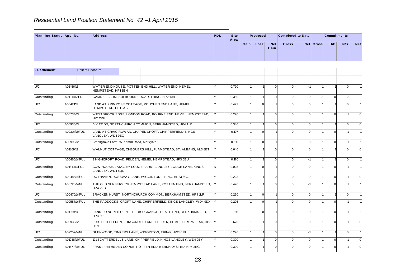| <b>Address</b>           |                 |  | <b>PDL</b>                                               |      |              |                  |     |                    |                                       |     |                    |
|--------------------------|-----------------|--|----------------------------------------------------------|------|--------------|------------------|-----|--------------------|---------------------------------------|-----|--------------------|
|                          |                 |  |                                                          | Gain | Loss         |                  |     |                    | U/C                                   | N/S | <b>Net</b>         |
|                          |                 |  |                                                          |      |              |                  |     |                    |                                       |     |                    |
| Planning Status Appl No. | Rest of Dacorum |  | Residential Land Position Statement No. 42 -1 April 2015 |      | Site<br>Area | Proposed<br>Gain | Net | Gross <sup>1</sup> | <b>Completed to Date</b><br>Net Gross |     | <b>Commitments</b> |

|              |                |                                          |                                                                |              |       | Gain | Loss           | <b>Net</b><br>Gain | Gross        |          | <b>Net Gross</b> | U/C         | N/S            | Net            |
|--------------|----------------|------------------------------------------|----------------------------------------------------------------|--------------|-------|------|----------------|--------------------|--------------|----------|------------------|-------------|----------------|----------------|
| - Settlement |                | <b>Rest of Dacorum</b>                   |                                                                |              |       |      |                |                    |              |          |                  |             |                |                |
|              |                |                                          |                                                                |              |       |      |                |                    |              |          |                  |             |                |                |
| U/C          | 4/01456/12     | HEMPSTEAD, HP13BN                        | WATER END HOUSE, POTTEN END HILL, WATER END, HEMEL             |              | 0.790 |      |                | $\mathbf{0}$       | $\Omega$     |          |                  |             | $\Omega$       | $\overline{1}$ |
| Outstanding  | 4/01914/12/FUL |                                          | GAMNEL FARM, BULBOURNE ROAD, TRING, HP235HF                    | $\checkmark$ | 0.350 |      | 2 <sub>1</sub> |                    | $\mathbf{0}$ | $\Omega$ | $\mathcal{D}$    | $\Omega$    | $\overline{2}$ | $\overline{1}$ |
| U/C          | 4/00421/13     | HEMPSTEAD, HP12AS                        | LAND AT PRIMROSE COTTAGE, POUCHEN END LANE, HEMEL              | ٧            | 0.423 |      | $\Omega$       |                    | $\Omega$     | $\Omega$ |                  |             | $\Omega$       | $\overline{1}$ |
| Outstanding  | 4/00734/13     | HP12RH                                   | WESTBROOK EDGE, LONDON ROAD, BOURNE END, HEMEL HEMPSTEAD,      |              | 0.270 |      |                | $\Omega$           | $\mathbf{0}$ | $\Omega$ |                  | $\Omega$    |                | $\mathbf 0$    |
| U/C          | 4/00936/13     |                                          | IVY TODD, NORTHCHURCH COMMON, BERKHAMSTED, HP4 1LR             | Y            | 0.340 |      |                | $\Omega$           | $\Omega$     | $\Omega$ |                  |             | $\Omega$       | $\mathbf 0$    |
| Outstanding  | 4/00314/13/FUL | LANGLEY, WD4 9EQ                         | LAND AT CRAIG ROWAN, CHAPEL CROFT, CHIPPERFIELD, KINGS         |              | 0.107 |      | $\Omega$       |                    | $\Omega$     | $\Omega$ |                  | $\Omega$    |                |                |
| Outstanding  | 4/00995/12     | Smallgrove Farm, Windmill Road, Markyate |                                                                |              | 0.610 |      | $\Omega$       |                    | $\Omega$     | $\Omega$ |                  | $\Omega$    |                | $\overline{1}$ |
| U/C          | 4/01869/13     |                                          | WALNUT COTTAGE, CHEQUERS HILL, FLAMSTEAD, ST. ALBANS, AL3 8ET  |              | 0.640 |      |                | $\Omega$           | $\Omega$     | $\Omega$ |                  |             | $\Omega$       | $\Omega$       |
| U/C          | 4/00466/14/FUL |                                          | 3 HIGHCROFT ROAD, FELDEN, HEMEL HEMPSTEAD, HP3 0BU             |              | 0.170 |      |                | $\Omega$           | $\mathbf{0}$ | $-1$     |                  |             | $\mathbf 0$    | $\overline{1}$ |
| Outstanding  | 4/01810/13/FUL | LANGLEY, WD4 8QN                         | COW HOUSE, LANGLEY LODGE FARM, LANGLEY LODGE LANE, KINGS       | N            | 0.025 |      | $\Omega$       |                    | $\Omega$     | $\Omega$ |                  | $\Omega$    |                | -1             |
| Outstanding  | 4/00485/14/FUL |                                          | ROTHAVEN, ROSSWAY LANE, WIGGINTON, TRING, HP23 6GZ             |              | 0.223 |      |                | $\Omega$           | $\Omega$     | $\Omega$ |                  | $\Omega$    |                | $\mathbf 0$    |
| Outstanding  | 4/00720/14/FUL | HP42SD                                   | THE OLD NURSERY, 78 HEMPSTEAD LANE, POTTEN END, BERKHAMSTED,   |              | 0.420 |      |                | $\Omega$           | $\mathbf{0}$ |          |                  | $\Omega$    |                |                |
| U/C          | 4/00470/14/FUL |                                          | BRACKEN HURST, NORTHCHURCH COMMON, BERKHAMSTED, HP4 1LR        | Y            | 0.260 |      | $\Omega$       |                    | $\mathbf{0}$ | $\Omega$ |                  |             | $\Omega$       | $\overline{1}$ |
| Outstanding  | 4/00557/14/FUL |                                          | THE PADDOCKS, CROFT LANE, CHIPPERFIELD, KINGS LANGLEY, WD4 9DX |              | 0.205 |      | $\Omega$       |                    | $\Omega$     | $\Omega$ |                  | $\Omega$    |                |                |
| Outstanding  | 4/01569/14     | HP4 3UF                                  | LAND TO NORTH OF NETHERBY GRANGE, HEATH END, BERKHAMSTED,      | Y            | 0.116 |      | $\mathbf{0}$   |                    | $\mathbf{0}$ | $\Omega$ |                  | $\mathbf 0$ |                | $\overline{1}$ |
| Outstanding  | 4/00939/12     | 0BN                                      | FURTHER FELDEN, LONGCROFT LANE, FELDEN, HEMEL HEMPSTEAD, HP3 Y |              | 0.670 |      |                | $\Omega$           | $\Omega$     | $\Omega$ |                  | $\Omega$    |                | $\Omega$       |
| U/C          | 4/02257/14/FUL |                                          | GLENWOOD, TINKERS LANE, WIGGINTON, TRING, HP236JB              | ٧            | 0.220 |      |                | $\mathbf{0}$       | $\mathbf{0}$ |          |                  |             | $\Omega$       | $\overline{1}$ |
| Outstanding  | 4/01238/14/FUL |                                          | 121 SCATTERDELLS LANE, CHIPPERFIELD, KINGS LANGLEY, WD4 9EY    |              | 0.390 |      |                | $\Omega$           | $\mathbf{0}$ | $\Omega$ |                  | $\Omega$    |                | $\mathbf 0$    |
| Outstanding  | 4/01577/14/FUL |                                          | FRAM, FRITHSDEN COPSE, POTTEN END, BERKHAMSTED, HP4 2RG        | Y            | 0.390 |      |                | $\Omega$           | $\mathbf{0}$ | $\Omega$ |                  | $\Omega$    |                | $\mathbf 0$    |
|              |                |                                          | 23                                                             |              |       |      |                |                    |              |          |                  |             |                |                |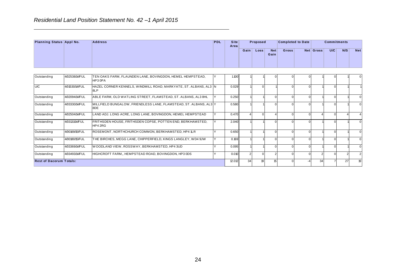|                          | Residential Land Position Statement No. 42 -1 April 2015 |            |              |      |             |                    |                          |           |                    |     |            |
|--------------------------|----------------------------------------------------------|------------|--------------|------|-------------|--------------------|--------------------------|-----------|--------------------|-----|------------|
| Planning Status Appl No. | <b>Address</b>                                           | <b>PDL</b> | Site<br>Area |      | Proposed    |                    | <b>Completed to Date</b> |           | <b>Commitments</b> |     |            |
|                          |                                                          |            |              | Gain | <b>Loss</b> | <b>Net</b><br>Gain | <b>Gross</b>             | Net Gross | U/C                | N/S | <b>Net</b> |
|                          |                                                          |            |              |      |             |                    |                          |           |                    |     |            |

| Outstanding<br>4/02538/14/FUL<br>TEN OAKS FARM, FLAUNDEN LANE, BOVINGDON, HEMEL HEMPSTEAD,<br>Y<br>1.100<br>$\Omega$<br>$\Omega$<br>$\Omega$<br>$\Omega$<br>HP3 0PA<br><b>U/C</b><br>HAZEL CORNER KENNELS, WINDMILL ROAD, MARKYATE, ST. ALBANS, AL3 N<br>4/01530/14/FUL<br>0.029<br>$\mathbf{0}$<br>$\mathbf{0}$<br>$\mathbf 0$<br>$\Omega$<br>8LP<br>4/02094/14/FUL<br>ABLE FARM, OLD WATLING STREET, FLAMSTEAD, ST. ALBANS, AL3 8HL<br>Y<br>0.250<br>Outstanding<br>$\mathbf 0$<br>$\mathbf{0}$<br>$\mathbf 0$<br>$\Omega$<br>4/03330/14/FUL<br>MILLFIELD BUNGALOW, FRIENDLESS LANE, FLAMSTEAD, ST. ALBANS, AL3 Y<br>Outstanding<br>0.580<br>$\Omega$<br>$\Omega$<br>$\Omega$<br>$\Omega$<br>8DE<br>LAND ADJ. LONG ACRE, LONG LANE, BOVINGDON, HEMEL HEMPSTEAD<br>4/02504/14/FUL<br>Y<br>0.470<br>Outstanding<br>$\overline{4}$<br>$\mathbf 0$<br>$\mathbf{0}$<br>$\mathbf 0$<br>$\overline{4}$<br>$\Omega$<br>$\overline{4}$<br>$\overline{4}$<br>4/03131/14/FUL<br>FRITHSDEN HOUSE, FRITHSDEN COPSE, POTTEN END, BERKHAMSTED,<br>2.040<br>Outstanding<br>Y<br>$\Omega$<br>$\Omega$<br>$\Omega$<br>$\Omega$<br>HP4 2RG<br>4/00169/15/FUL<br>ROSEMONT, NORTHCHURCH COMMON, BERKHAMSTED, HP4 1LR<br>Y<br>Outstanding<br>0.650<br>$\overline{0}$<br>$\mathbf 0$<br>$\Omega$<br>$\Omega$<br>4/00180/15/FUL<br>Y<br>Outstanding<br>THE BIRCHES, MEGG LANE, CHIPPERFIELD, KINGS LANGLEY, WD4 9JW<br>0.169<br>$\mathbf 0$<br>$\Omega$<br>$\overline{0}$<br>$\mathbf 0$<br>Outstanding<br>4/03369/14/FUL<br>WOODLAND VIEW, ROSSWAY, BERKHAMSTED, HP4 3UD<br>0.095<br>Y<br>$\mathbf 0$<br>$\mathbf 0$<br>$\mathbf{0}$<br>$\mathbf 0$<br>4/03493/14/FUL<br>HIGHCROFT FARM,, HEMPSTEAD ROAD, BOVINGDON, HP3 0DS<br>Outstanding<br>Y<br>0.010<br>$\mathbf{0}$<br>$\overline{2}$<br>$\mathbf{0}$<br>2<br>$\mathbf 0$<br>$\overline{2}$<br>2 <sub>l</sub><br>$\Omega$ | 34<br>19<br>15<br>34<br>27<br><b>Rest of Dacorum Totals:</b><br>12.012<br>$\Omega$<br>$-4$<br>$\overline{7}$ |  |    |  | Gain $ $ | Loss | <b>Net</b><br>Gain | Gross | Net Gross | U/C | N/S | Net            |
|------------------------------------------------------------------------------------------------------------------------------------------------------------------------------------------------------------------------------------------------------------------------------------------------------------------------------------------------------------------------------------------------------------------------------------------------------------------------------------------------------------------------------------------------------------------------------------------------------------------------------------------------------------------------------------------------------------------------------------------------------------------------------------------------------------------------------------------------------------------------------------------------------------------------------------------------------------------------------------------------------------------------------------------------------------------------------------------------------------------------------------------------------------------------------------------------------------------------------------------------------------------------------------------------------------------------------------------------------------------------------------------------------------------------------------------------------------------------------------------------------------------------------------------------------------------------------------------------------------------------------------------------------------------------------------------------------------------------------------------------------------------------------------------------------------------------------------------------------------|--------------------------------------------------------------------------------------------------------------|--|----|--|----------|------|--------------------|-------|-----------|-----|-----|----------------|
|                                                                                                                                                                                                                                                                                                                                                                                                                                                                                                                                                                                                                                                                                                                                                                                                                                                                                                                                                                                                                                                                                                                                                                                                                                                                                                                                                                                                                                                                                                                                                                                                                                                                                                                                                                                                                                                            |                                                                                                              |  |    |  |          |      |                    |       |           |     |     |                |
|                                                                                                                                                                                                                                                                                                                                                                                                                                                                                                                                                                                                                                                                                                                                                                                                                                                                                                                                                                                                                                                                                                                                                                                                                                                                                                                                                                                                                                                                                                                                                                                                                                                                                                                                                                                                                                                            |                                                                                                              |  |    |  |          |      |                    |       |           |     |     | $\mathbf 0$    |
|                                                                                                                                                                                                                                                                                                                                                                                                                                                                                                                                                                                                                                                                                                                                                                                                                                                                                                                                                                                                                                                                                                                                                                                                                                                                                                                                                                                                                                                                                                                                                                                                                                                                                                                                                                                                                                                            |                                                                                                              |  |    |  |          |      |                    |       |           |     |     | $\mathbf{1}$   |
|                                                                                                                                                                                                                                                                                                                                                                                                                                                                                                                                                                                                                                                                                                                                                                                                                                                                                                                                                                                                                                                                                                                                                                                                                                                                                                                                                                                                                                                                                                                                                                                                                                                                                                                                                                                                                                                            |                                                                                                              |  |    |  |          |      |                    |       |           |     |     | $\mathbf 0$    |
|                                                                                                                                                                                                                                                                                                                                                                                                                                                                                                                                                                                                                                                                                                                                                                                                                                                                                                                                                                                                                                                                                                                                                                                                                                                                                                                                                                                                                                                                                                                                                                                                                                                                                                                                                                                                                                                            |                                                                                                              |  |    |  |          |      |                    |       |           |     |     | $\mathbf 0$    |
|                                                                                                                                                                                                                                                                                                                                                                                                                                                                                                                                                                                                                                                                                                                                                                                                                                                                                                                                                                                                                                                                                                                                                                                                                                                                                                                                                                                                                                                                                                                                                                                                                                                                                                                                                                                                                                                            |                                                                                                              |  |    |  |          |      |                    |       |           |     |     | $\overline{a}$ |
|                                                                                                                                                                                                                                                                                                                                                                                                                                                                                                                                                                                                                                                                                                                                                                                                                                                                                                                                                                                                                                                                                                                                                                                                                                                                                                                                                                                                                                                                                                                                                                                                                                                                                                                                                                                                                                                            |                                                                                                              |  |    |  |          |      |                    |       |           |     |     | $\mathbf 0$    |
|                                                                                                                                                                                                                                                                                                                                                                                                                                                                                                                                                                                                                                                                                                                                                                                                                                                                                                                                                                                                                                                                                                                                                                                                                                                                                                                                                                                                                                                                                                                                                                                                                                                                                                                                                                                                                                                            |                                                                                                              |  |    |  |          |      |                    |       |           |     |     | $\mathbf 0$    |
|                                                                                                                                                                                                                                                                                                                                                                                                                                                                                                                                                                                                                                                                                                                                                                                                                                                                                                                                                                                                                                                                                                                                                                                                                                                                                                                                                                                                                                                                                                                                                                                                                                                                                                                                                                                                                                                            |                                                                                                              |  |    |  |          |      |                    |       |           |     |     | $\mathbf 0$    |
|                                                                                                                                                                                                                                                                                                                                                                                                                                                                                                                                                                                                                                                                                                                                                                                                                                                                                                                                                                                                                                                                                                                                                                                                                                                                                                                                                                                                                                                                                                                                                                                                                                                                                                                                                                                                                                                            |                                                                                                              |  |    |  |          |      |                    |       |           |     |     | $\mathbf 0$    |
|                                                                                                                                                                                                                                                                                                                                                                                                                                                                                                                                                                                                                                                                                                                                                                                                                                                                                                                                                                                                                                                                                                                                                                                                                                                                                                                                                                                                                                                                                                                                                                                                                                                                                                                                                                                                                                                            |                                                                                                              |  |    |  |          |      |                    |       |           |     |     | $\overline{2}$ |
|                                                                                                                                                                                                                                                                                                                                                                                                                                                                                                                                                                                                                                                                                                                                                                                                                                                                                                                                                                                                                                                                                                                                                                                                                                                                                                                                                                                                                                                                                                                                                                                                                                                                                                                                                                                                                                                            |                                                                                                              |  |    |  |          |      |                    |       |           |     |     | 19             |
|                                                                                                                                                                                                                                                                                                                                                                                                                                                                                                                                                                                                                                                                                                                                                                                                                                                                                                                                                                                                                                                                                                                                                                                                                                                                                                                                                                                                                                                                                                                                                                                                                                                                                                                                                                                                                                                            |                                                                                                              |  |    |  |          |      |                    |       |           |     |     |                |
|                                                                                                                                                                                                                                                                                                                                                                                                                                                                                                                                                                                                                                                                                                                                                                                                                                                                                                                                                                                                                                                                                                                                                                                                                                                                                                                                                                                                                                                                                                                                                                                                                                                                                                                                                                                                                                                            |                                                                                                              |  |    |  |          |      |                    |       |           |     |     |                |
|                                                                                                                                                                                                                                                                                                                                                                                                                                                                                                                                                                                                                                                                                                                                                                                                                                                                                                                                                                                                                                                                                                                                                                                                                                                                                                                                                                                                                                                                                                                                                                                                                                                                                                                                                                                                                                                            |                                                                                                              |  | 24 |  |          |      |                    |       |           |     |     |                |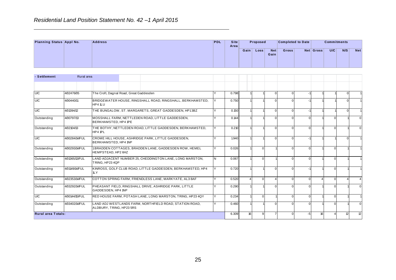|                          |            |                | Residential Land Position Statement No. 42 -1 April 2015 |            |                     |      |          |                    |                          |           |                    |     |            |
|--------------------------|------------|----------------|----------------------------------------------------------|------------|---------------------|------|----------|--------------------|--------------------------|-----------|--------------------|-----|------------|
| Planning Status Appl No. |            | <b>Address</b> |                                                          | <b>PDL</b> | <b>Site</b><br>Area |      | Proposed |                    | <b>Completed to Date</b> |           | <b>Commitments</b> |     |            |
|                          |            |                |                                                          |            |                     | Gain | Loss     | <b>Net</b><br>Gain | <b>Gross</b>             | Net Gross | U/C                | N/S | <b>Net</b> |
|                          |            |                |                                                          |            |                     |      |          |                    |                          |           |                    |     |            |
| - Settlement             | Rural area |                |                                                          |            |                     |      |          |                    |                          |           |                    |     |            |

|                           |                |                                         |                                                             |    |       | Gain | Loss         | <b>Net</b><br>Gain  | Gross          |                | Net Gross | U/C            | N/S          | Net            |
|---------------------------|----------------|-----------------------------------------|-------------------------------------------------------------|----|-------|------|--------------|---------------------|----------------|----------------|-----------|----------------|--------------|----------------|
| - Settlement              | Rural area     |                                         |                                                             |    |       |      |              |                     |                |                |           |                |              |                |
|                           |                |                                         |                                                             |    |       |      |              |                     |                |                |           |                |              |                |
| <b>U/C</b>                | 4/02476/05     | The Croft, Dagnal Road, Great Gaddesden |                                                             | Υ  | 0.798 |      |              | $\Omega$            | $\overline{0}$ | $-1$           |           |                | $\mathbf{0}$ |                |
| U/C                       | 4/00440/11     | HP4 1LU                                 | BRIDGEWATER HOUSE, RINGSHALL ROAD, RINGSHALL, BERKHAMSTED,  | Y  | 0.750 |      |              | $\Omega$            | $\Omega$       |                |           |                | $\Omega$     |                |
| U/C                       | 4/01394/12     |                                         | THE BUNGALOW, ST. MARGARETS, GREAT GADDESDEN, HP13BZ        | Y  | 0.150 |      |              | $\Omega$            | $\Omega$       |                |           |                | $\mathbf{0}$ |                |
| Outstanding               | 4/00797/13     | BERKHAMSTED, HP4 1PE                    | MOSSHALL FARM, NETTLEDEN ROAD, LITTLE GADDESDEN,            | Y  | 0.144 |      |              | $\Omega$            | $\Omega$       | $\Omega$       |           | $\Omega$       |              | $\mathbf 0$    |
| Outstanding               | 4/02104/13     | HP4 1PL                                 | THE BOTHY, NETTLEDEN ROAD, LITTLE GADDESDEN, BERKHAMSTED,   | Y  | 0.210 |      |              | $\mathbf 0$         | $\overline{0}$ | $\overline{0}$ |           | $\mathbf 0$    |              | $\mathbf 0$    |
| <b>U/C</b>                | 4/00284/14/FUL | BERKHAMSTED, HP4 1NP                    | CROME HILL HOUSE, ASHRIDGE PARK, LITTLE GADDESDEN,          | Y  | 1.940 |      |              | $\Omega$            | $\Omega$       |                |           |                | $\Omega$     | $\mathbf{1}$   |
| Outstanding               | 4/00293/14/FUL | HEMPSTEAD, HP2 6HZ                      | 1BRADDEN COTTAGES, BRADDEN LANE, GADDESDEN ROW, HEMEL       | Y  | 0.026 |      | $\mathbf{0}$ |                     | $\Omega$       | $\Omega$       |           | $\mathbf 0$    |              | $\mathbf{1}$   |
| Outstanding               | 4/01365/13/FUL | TRING, HP23 4QP                         | LAND ADJACENT NUMBER 25, CHEDDINGTON LANE, LONG MARSTON,    | N. | 0.067 |      | $\Omega$     |                     | $\Omega$       | $\Omega$       |           | $\Omega$       |              |                |
| Outstanding               | 4/01149/14/FUL | $1 \mathsf{L} Y$                        | KINROSS, GOLF CLUB ROAD, LITTLE GADDESDEN, BERKHAMSTED, HP4 | Y  | 0.720 |      |              | $\mathbf 0$         | $\Omega$       |                |           | $\mathbf 0$    |              | $\mathbf{1}$   |
| Outstanding               | 4/02353/14/FUL |                                         | COTTON SPRING FARM, FRIENDLESS LANE, MARKYATE, AL3 8AF      | Y  | 0.520 |      | $\Omega$     |                     | $\Omega$       | $\Omega$       |           | $\Omega$       | 4            | $\overline{4}$ |
| Outstanding               | 4/03292/14/FUL | GADDESDEN, HP4 1NP                      | PHEASANT FIELD, RINGSHALL DRIVE, ASHRIDGE PARK, LITTLE      | Y  | 0.290 |      |              | $\Omega$            | U              | $\overline{0}$ |           | $\Omega$       |              | $\mathbf 0$    |
| U/C                       | 4/00144/15/FUL |                                         | RED HOUSE FARM, POTASH LANE, LONG MARSTON, TRING, HP23 4QY  | Y  | 0.234 |      |              | $\Omega$            | $\Omega$       | $\Omega$       |           | $\Omega$       |              | $\mathbf{1}$   |
| Outstanding               | 4/03402/14/FUL | ALDBURY, TRING, HP23 5RS                | LAND ADJ WESTLANDS FARM, NORTHFIELD ROAD, STATION ROAD,     | Y  | 0.460 |      |              | $\mathbf 0$         | U              | $\Omega$       |           | $\Omega$       |              | $\mathbf 0$    |
| <b>Rural area Totals:</b> |                |                                         |                                                             |    | 6.309 |      | 16           | 9<br>$\overline{7}$ | $\Omega$       | $-5$           | 16        | $\overline{4}$ | 12           | 12             |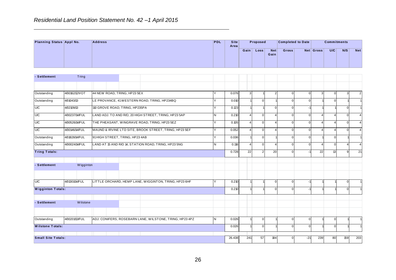|                          |       |                | Residential Land Position Statement No. 42 -1 April 2015 |            |                     |      |                   |             |                          |           |                    |     |            |
|--------------------------|-------|----------------|----------------------------------------------------------|------------|---------------------|------|-------------------|-------------|--------------------------|-----------|--------------------|-----|------------|
| Planning Status Appl No. |       | <b>Address</b> |                                                          | <b>PDL</b> | <b>Site</b><br>Area |      | Proposed          |             | <b>Completed to Date</b> |           | <b>Commitments</b> |     |            |
|                          |       |                |                                                          |            |                     | Gain | Loss <sub>1</sub> | Net<br>Gain | Gross                    | Net Gross | U/C                | N/S | <b>Net</b> |
|                          |       |                |                                                          |            |                     |      |                   |             |                          |           |                    |     |            |
| - Settlement             | Tring |                |                                                          |            |                     |      |                   |             |                          |           |                    |     |            |
|                          |       |                |                                                          |            |                     |      |                   |             |                          |           |                    |     |            |

|                           |                |           |  |                                 |                                                         |          |        | Gain     | Loss           | <b>Net</b><br>Gain | Gross          |              | Net Gross              | U/C            | N/S            | Net            |
|---------------------------|----------------|-----------|--|---------------------------------|---------------------------------------------------------|----------|--------|----------|----------------|--------------------|----------------|--------------|------------------------|----------------|----------------|----------------|
| - Settlement              | Tring          |           |  |                                 |                                                         |          |        |          |                |                    |                |              |                        |                |                |                |
|                           |                |           |  |                                 |                                                         |          |        |          |                |                    |                |              |                        |                |                |                |
| Outstanding               | 4/00162/12/VOT |           |  | 44 NEW ROAD, TRING, HP23 5EX    |                                                         | Y        | 0.076  | 3        |                | $\overline{2}$     | $\Omega$       | $\mathbf{0}$ | 3                      | $\mathbf 0$    | 3 <sup>1</sup> | 2 <sub>l</sub> |
| Outstanding               | 4/01043/13     |           |  |                                 | LE PROVANCE, 41 WESTERN ROAD, TRING, HP234BQ            | Y        | 0.010  |          | $\mathbf 0$    |                    | $\Omega$       | $\Omega$     |                        | $\Omega$       |                |                |
| <b>U/C</b>                | 4/02109/13     |           |  | 110 GROVE ROAD, TRING, HP235PA  |                                                         | Y        | 0.123  |          |                | $\mathbf{0}$       | $\Omega$       | $-1$         |                        |                | $\overline{0}$ |                |
| U/C                       | 4/00237/14/FUL |           |  |                                 | LAND ADJ. TO AND R/O, 20 HIGH STREET, TRING, HP23 5AP   | IN.      | 0.210  | $\Delta$ | $\mathbf 0$    |                    | $\Omega$       | $\mathbf{0}$ | $\boldsymbol{\Lambda}$ | $\overline{4}$ | $\overline{0}$ | $\overline{4}$ |
| U/C                       | 4/00526/14/FUL |           |  |                                 | THE PHEASANT, WINGRAVE ROAD, TRING, HP23 5EZ            | Y        | 0.105  | Δ        | $\mathbf{0}$   | $\Delta$           | $\Omega$       | $\Omega$     |                        | $\overline{4}$ | $\Omega$       | $\overline{4}$ |
| U/C                       | 4/00146/14/FUL |           |  |                                 | MAUND & IRVINE LTD SITE, BROOK STREET, TRING, HP23 5EF  | Y        | 0.052  | 4        | $\mathbf 0$    | 4                  | $\Omega$       | $\Omega$     |                        | 4              | $\Omega$       | $\overline{4}$ |
| Outstanding               | 4/01828/14/FUL |           |  | 91 HIGH STREET, TRING, HP23 4AB |                                                         | Y        | 0.036  |          | $\mathbf 0$    |                    | $\Omega$       | $\Omega$     |                        | $\mathbf{0}$   |                |                |
| Outstanding               | 4/00024/14/FUL |           |  |                                 | LAND AT 15 AND R/O 14, STATION ROAD, TRING, HP23 5NG    | N        | 0.116  | Δ        | $\mathbf 0$    | Δ                  | $\Omega$       | $\Omega$     |                        | $\mathbf 0$    | $\overline{4}$ | $\overline{4}$ |
| <b>Tring Totals:</b>      |                |           |  |                                 |                                                         |          | 0.728  | 22       | $\overline{2}$ | 20                 | $\Omega$       | $-1$         | 22                     | 13             | 9              | 21             |
|                           |                |           |  |                                 |                                                         |          |        |          |                |                    |                |              |                        |                |                |                |
| - Settlement              |                | Wigginton |  |                                 |                                                         |          |        |          |                |                    |                |              |                        |                |                |                |
|                           |                |           |  |                                 |                                                         |          |        |          |                |                    |                |              |                        |                |                |                |
| UC                        | 4/01301/14/FUL |           |  |                                 | LITTLE ORCHARD, HEMP LANE, WIGGINTON, TRING, HP23 6HF   | <b>Y</b> | 0.210  |          |                | $\mathbf{0}$       | $\Omega$       | $-1$         |                        |                | $\Omega$       |                |
| <b>Wigginton Totals:</b>  |                |           |  |                                 |                                                         |          | 0.210  |          |                | $\mathbf{0}$       | $\Omega$       | $-1$         |                        |                | $\overline{0}$ |                |
|                           |                |           |  |                                 |                                                         |          |        |          |                |                    |                |              |                        |                |                |                |
| - Settlement              |                | Wilstone  |  |                                 |                                                         |          |        |          |                |                    |                |              |                        |                |                |                |
|                           |                |           |  |                                 |                                                         |          |        |          |                |                    |                |              |                        |                |                |                |
| Outstanding               | 4/00201/13/FUL |           |  |                                 | ADJ. CONIFERS, ROSEBARN LANE, WILSTONE, TRING, HP23 4PZ | <b>N</b> | 0.026  |          | $\mathbf 0$    |                    | $\Omega$       | $\Omega$     |                        | $\mathbf{0}$   |                |                |
| <b>Wilstone Totals:</b>   |                |           |  |                                 |                                                         |          | 0.026  |          | $\mathbf 0$    |                    | $\overline{0}$ | $\mathbf{0}$ |                        | $\overline{0}$ |                |                |
|                           |                |           |  |                                 |                                                         |          |        |          |                |                    |                |              |                        |                |                |                |
| <b>Small Site Totals:</b> |                |           |  |                                 |                                                         |          | 26.438 | 241      | 57             | 184                | $\Omega$       | $-21$        | 239                    | 80             | 159            | 203            |
|                           |                |           |  |                                 |                                                         |          |        |          |                |                    |                |              |                        |                |                |                |
|                           |                |           |  |                                 |                                                         |          |        |          |                |                    |                |              |                        |                |                |                |
|                           |                |           |  |                                 | 26                                                      |          |        |          |                |                    |                |              |                        |                |                |                |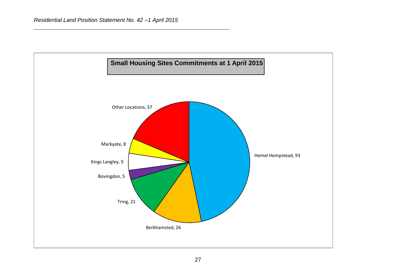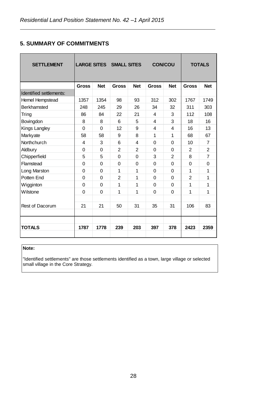### **5. SUMMARY OF COMMITMENTS**

| <b>SETTLEMENT</b>       |              |            | <b>LARGE SITES SMALL SITES</b> |            | <b>CON/COU</b>          |                |              | <b>TOTALS</b>  |
|-------------------------|--------------|------------|--------------------------------|------------|-------------------------|----------------|--------------|----------------|
|                         | <b>Gross</b> | <b>Net</b> | <b>Gross</b>                   | <b>Net</b> | <b>Gross</b>            | <b>Net</b>     | <b>Gross</b> | <b>Net</b>     |
| Identified settlements: |              |            |                                |            |                         |                |              |                |
| <b>Hemel Hempstead</b>  | 1357         | 1354       | 98                             | 93         | 312                     | 302            | 1767         | 1749           |
| <b>Berkhamsted</b>      | 248          | 245        | 29                             | 26         | 34                      | 32             | 311          | 303            |
| Tring                   | 86           | 84         | 22                             | 21         | $\overline{\mathbf{4}}$ | 3              | 112          | 108            |
| Bovingdon               | 8            | 8          | 6                              | 5          | 4                       | 3              | 18           | 16             |
| Kings Langley           | $\mathbf 0$  | 0          | 12                             | 9          | 4                       | 4              | 16           | 13             |
| Markyate                | 58           | 58         | 9                              | 8          | 1                       | 1              | 68           | 67             |
| Northchurch             | 4            | 3          | 6                              | 4          | $\Omega$                | 0              | 10           | 7              |
| Aldbury                 | 0            | 0          | 2                              | 2          | $\Omega$                | 0              | 2            | $\overline{2}$ |
| Chipperfield            | 5            | 5          | 0                              | 0          | 3                       | $\overline{2}$ | 8            | $\overline{7}$ |
| Flamstead               | $\mathbf 0$  | 0          | 0                              | $\Omega$   | $\Omega$                | 0              | $\Omega$     | 0              |
| Long Marston            | 0            | $\Omega$   | 1                              | 1          | $\Omega$                | 0              | 1            | 1              |
| Potten End              | $\Omega$     | 0          | $\overline{2}$                 | 1          | $\mathbf 0$             | 0              | 2            | 1              |
| Wigginton               | 0            | 0          | 1                              | 1          | $\Omega$                | 0              | 1            | 1              |
| Wilstone                | 0            | 0          | 1                              | 1          | $\mathbf 0$             | 0              | 1            | 1              |
|                         |              |            |                                |            |                         |                |              |                |
| Rest of Dacorum         | 21           | 21         | 50                             | 31         | 35                      | 31             | 106          | 83             |
|                         |              |            |                                |            |                         |                |              |                |
|                         |              |            |                                |            |                         |                |              |                |
| <b>TOTALS</b>           | 1787         | 1778       | 239                            | 203        | 397                     | 378            | 2423         | 2359           |
|                         |              |            |                                |            |                         |                |              |                |

#### **Note:**

"Identified settlements" are those settlements identified as a town, large village or selected small village in the Core Strategy.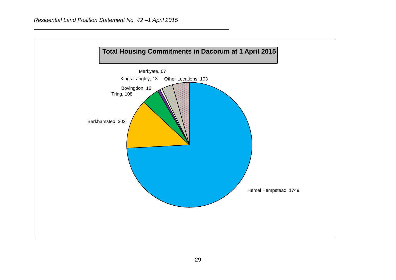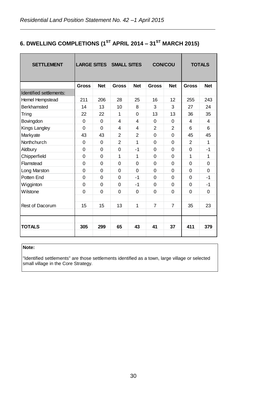# **6. DWELLING COMPLETIONS (1ST APRIL 2014 – 31ST MARCH 2015)**

| <b>SETTLEMENT</b>       |                |                | <b>LARGE SITES SMALL SITES</b> |                | <b>CON/COU</b> |                |              | <b>TOTALS</b> |
|-------------------------|----------------|----------------|--------------------------------|----------------|----------------|----------------|--------------|---------------|
|                         | <b>Gross</b>   | <b>Net</b>     | <b>Gross</b>                   | <b>Net</b>     | <b>Gross</b>   | <b>Net</b>     | <b>Gross</b> | <b>Net</b>    |
| Identified settlements: |                |                |                                |                |                |                |              |               |
| Hemel Hempstead         | 211            | 206            | 28                             | 25             | 16             | 12             | 255          | 243           |
| <b>Berkhamsted</b>      | 14             | 13             | 10                             | 8              | 3              | 3              | 27           | 24            |
| Tring                   | 22             | 22             | 1                              | 0              | 13             | 13             | 36           | 35            |
| Bovingdon               | $\Omega$       | $\Omega$       | 4                              | 4              | $\Omega$       | 0              | 4            | 4             |
| Kings Langley           | $\mathbf 0$    | $\Omega$       | 4                              | 4              | $\overline{2}$ | $\overline{2}$ | 6            | 6             |
| Markyate                | 43             | 43             | $\overline{2}$                 | $\overline{2}$ | $\Omega$       | 0              | 45           | 45            |
| Northchurch             | 0              | $\Omega$       | $\overline{2}$                 | 1              | $\Omega$       | 0              | 2            | $\mathbf 1$   |
| Aldbury                 | $\Omega$       | 0              | 0                              | $-1$           | $\Omega$       | 0              | $\Omega$     | $-1$          |
| Chipperfield            | $\mathbf 0$    | $\overline{0}$ | 1                              | 1              | $\overline{0}$ | 0              | 1            | $\mathbf 1$   |
| Flamstead               | $\mathbf 0$    | 0              | $\Omega$                       | 0              | $\Omega$       | 0              | $\Omega$     | 0             |
| Long Marston            | $\overline{0}$ | 0              | 0                              | 0              | $\Omega$       | 0              | $\Omega$     | 0             |
| Potten End              | $\overline{0}$ | $\Omega$       | $\Omega$                       | $-1$           | $\Omega$       | 0              | $\Omega$     | $-1$          |
| Wigginton               | $\overline{0}$ | $\Omega$       | 0                              | $-1$           | $\Omega$       | 0              | $\Omega$     | $-1$          |
| Wilstone                | $\Omega$       | 0              | $\Omega$                       | $\Omega$       | $\Omega$       | 0              | $\Omega$     | 0             |
|                         |                |                |                                |                |                |                |              |               |
| <b>Rest of Dacorum</b>  | 15             | 15             | 13                             | 1              | $\overline{7}$ | $\overline{7}$ | 35           | 23            |
|                         |                |                |                                |                |                |                |              |               |
|                         |                |                |                                |                |                |                |              |               |
| <b>TOTALS</b>           | 305            | 299            | 65                             | 43             | 41             | 37             | 411          | 379           |
|                         |                |                |                                |                |                |                |              |               |

#### **Note:**

"Identified settlements" are those settlements identified as a town, large village or selected small village in the Core Strategy.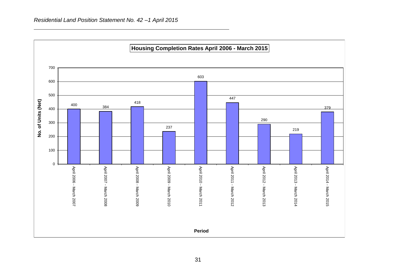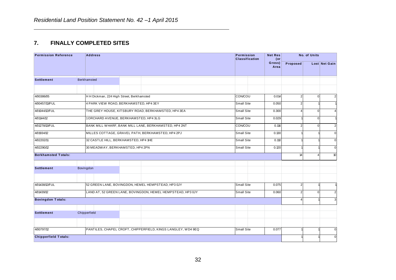### **7. FINALLY COMPLETED SITES**

| <b>Permission Reference</b> | <b>Address</b>                                               | <b>Permission</b><br><b>Classification</b> | <b>Net Res</b><br>$($ or |                | No. of Units  |                  |
|-----------------------------|--------------------------------------------------------------|--------------------------------------------|--------------------------|----------------|---------------|------------------|
|                             |                                                              |                                            | Gross)<br>Area           | Proposed       | Lost Net Gain |                  |
| <b>Settlement</b>           | <b>Berkhamsted</b>                                           |                                            |                          |                |               |                  |
| 4/00386/05                  | H H Dickman, 224 High Street, Berkhamsted                    | CON/COU                                    | 0.014                    | $\overline{2}$ | $\mathbf 0$   | $\overline{2}$   |
| 4/00457/13/FUL              | 4 PARK VIEW ROAD, BERKHAMSTED, HP4 3EY                       | <b>Small Site</b>                          | 0.050                    | $\overline{2}$ |               |                  |
| 4/01044/12/FUL              | THE GREY HOUSE, KITSBURY ROAD, BERKHAMSTED, HP4 3EA          | Small Site                                 | 0.300                    | 4              | $\mathbf 0$   | $\overline{4}$   |
| 4/01144/12                  | 1 ORCHARD AVENUE, BERKHAMSTED, HP4 3LG                       | <b>Small Site</b>                          | 0.029                    |                | $\mathbf{0}$  | $\mathbf{1}$     |
| 4/01278/13/FUL              | BANK MILL WHARF, BANK MILL LANE, BERKHAMSTED, HP4 2NT        | CON/COU                                    | 0.116                    | $\overline{2}$ | $\mathbf 0$   | $\overline{2}$   |
| 4/01934/12                  | MILLES COTTAGE, GRAVEL PATH, BERKHAMSTED, HP4 2PJ            | <b>Small Site</b>                          | 0.130                    |                |               | $\boldsymbol{0}$ |
| 4/02202/11                  | 32 CASTLE HILL, BERKHAMSTED, HP4 1HE                         | Small Site                                 | 0.110                    |                |               | $\mathbf{0}$     |
| 4/02290/12                  | 30 MEADWAY, BERKHAMSTED, HP4 2PN                             | Small Site                                 | 0.120                    |                |               | $\overline{0}$   |
| <b>Berkhamsted Totals:</b>  |                                                              |                                            |                          | 14             |               | 10 <sup>1</sup>  |
| <b>Settlement</b>           | Bovingdon                                                    |                                            |                          |                |               |                  |
| 4/01438/12/FUL              | 52 GREEN LANE, BOVINGDON, HEMEL HEMPSTEAD, HP3 0JY           | Small Site                                 | 0.075                    | $\overline{2}$ |               |                  |
| 4/01439/12                  | LAND AT, 52 GREEN LANE, BOVINGDON, HEMEL HEMPSTEAD, HP3 0JY  | Small Site                                 | 0.060                    | $\overline{2}$ | $\mathbf 0$   | $\overline{2}$   |
| <b>Bovingdon Totals:</b>    |                                                              |                                            |                          | 4              |               | $\overline{3}$   |
|                             |                                                              |                                            |                          |                |               |                  |
| <b>Settlement</b>           | Chipperfield                                                 |                                            |                          |                |               |                  |
|                             |                                                              |                                            |                          |                |               |                  |
| 4/00797/12                  | PANTILES, CHAPEL CROFT, CHIPPERFIELD, KINGS LANGLEY, WD4 9EQ | Small Site                                 | 0.077                    |                |               | $\overline{0}$   |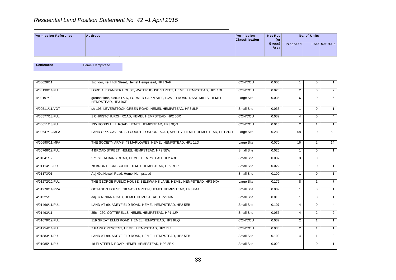|                             | Residential Land Position Statement No. 42 -1 April 2015 |                                     |                                         |                 |                               |
|-----------------------------|----------------------------------------------------------|-------------------------------------|-----------------------------------------|-----------------|-------------------------------|
| <b>Permission Reference</b> | <b>Address</b>                                           | Permission<br><b>Classification</b> | <b>Net Res</b><br>(or<br>Gross)<br>Area | <b>Proposed</b> | No. of Units<br>Lost Net Gain |

| <b>Permission Reference</b> | <b>Address</b>                                                                                     | Permission<br><b>Classification</b> | <b>Net Res</b><br>$($ or |                | No. of Units   |                |
|-----------------------------|----------------------------------------------------------------------------------------------------|-------------------------------------|--------------------------|----------------|----------------|----------------|
|                             |                                                                                                    |                                     | Gross)<br>Area           | Proposed       |                | Lost Net Gain  |
| <b>Settlement</b>           | <b>Hemel Hempstead</b>                                                                             |                                     |                          |                |                |                |
| 4/00028/11                  | 1st floor, 49, High Street, Hemel Hempstead, HP1 3AF                                               | CON/COU                             | 0.006                    | 1              | 0              | $\mathbf{1}$   |
| 4/00130/14/FUL              | LORD ALEXANDER HOUSE, WATERHOUSE STREET, HEMEL HEMPSTEAD, HP1 1DH                                  | CON/COU                             | 0.020                    | $\overline{2}$ | $\mathbf 0$    | $\overline{2}$ |
| 4/00197/13                  | ground floor, blocks I & K, FORMER SAPPI SITE, LOWER ROAD, NASH MILLS, HEMEL<br>HEMPSTEAD, HP3 9XF | Large Site                          | 0.035                    | 6              | $\Omega$       | 6              |
| 4/00511/11/VOT              | r/o 195, LEVERSTOCK GREEN ROAD, HEMEL HEMPSTEAD, HP3 8LP                                           | Small Site                          | 0.033                    | $\mathbf{1}$   | $\Omega$       | $\mathbf{1}$   |
| 4/00577/13/FUL              | 1 CHRISTCHURCH ROAD, HEMEL HEMPSTEAD, HP2 5BX                                                      | CON/COU                             | 0.032                    | $\overline{4}$ | $\Omega$       | $\overline{4}$ |
| 4/00611/13/FUL              | 135 HOBBS HILL ROAD, HEMEL HEMPSTEAD, HP3 9QG                                                      | CON/COU                             | 0.015                    | $\overline{2}$ | $\mathbf{1}$   | $\mathbf{1}$   |
| 4/00647/12/MFA              | LAND OPP. CAVENDISH COURT, LONDON ROAD, APSLEY, HEMEL HEMPSTEAD, HP1 2RH                           | Large Site                          | 0.280                    | 58             | $\mathbf 0$    | 58             |
| 4/00690/11/MFA              | THE SOCIETY ARMS, 43 MARLOWES, HEMEL HEMPSTEAD, HP1 1LD                                            | Large Site                          | 0.070                    | 16             | $\overline{2}$ | 14             |
| 4/00766/12/FUL              | 4 BROAD STREET, HEMEL HEMPSTEAD, HP2 5BW                                                           | Small Site                          | 0.026                    | $\mathbf{1}$   | $\Omega$       | $\mathbf{1}$   |
| 4/01041/12                  | 271 ST. ALBANS ROAD, HEMEL HEMPSTEAD, HP2 4RP                                                      | Small Site                          | 0.037                    | 3              | $\mathbf 0$    | 3              |
| 4/01114/13/FUL              | 78 BRONTE CRESCENT, HEMEL HEMPSTEAD, HP2 7PR                                                       | Small Site                          | 0.022                    | 1              | $\mathbf 0$    | $\mathbf{1}$   |
| 4/01173/01                  | Adj 49a Newell Road, Hemel Hempstead                                                               | Small Site                          | 0.100                    | $\mathbf{1}$   | $\mathbf 0$    | $\mathbf{1}$   |
| 4/01272/10/FUL              | THE GEORGE PUBLIC HOUSE, BELSWAINS LANE, HEMEL HEMPSTEAD, HP3 9XA                                  | Large Site                          | 0.172                    | 8              | $\mathbf{1}$   | $\overline{7}$ |
| 4/01278/14/RPA              | OCTAGON HOUSE,, 18 NASH GREEN, HEMEL HEMPSTEAD, HP3 8AA                                            | Small Site                          | 0.009                    | $\mathbf{1}$   | $\mathbf 0$    | $\mathbf{1}$   |
| 4/01325/13                  | adj 37 NINIAN ROAD, HEMEL HEMPSTEAD, HP2 6NA                                                       | Small Site                          | 0.010                    | 1              | $\mathbf 0$    | $\mathbf{1}$   |
| 4/01466/11/FUL              | LAND AT 99, ADEYFIELD ROAD, HEMEL HEMPSTEAD, HP2 5EB                                               | Small Site                          | 0.107                    | $\overline{4}$ | $\Omega$       | $\overline{4}$ |
| 4/01493/11                  | 256 - 260, COTTERELLS, HEMEL HEMPSTEAD, HP1 1JP                                                    | Small Site                          | 0.056                    | $\overline{4}$ | $\overline{2}$ | $\overline{2}$ |
| 4/01679/12/FUL              | 119 GREAT ELMS ROAD, HEMEL HEMPSTEAD, HP3 9UQ                                                      | CON/COU                             | 0.037                    | $\overline{2}$ | $\mathbf{1}$   | $\mathbf{1}$   |
| 4/01754/14/FUL              | 7 PARR CRESCENT, HEMEL HEMPSTEAD, HP2 7LJ                                                          | CON/COU                             | 0.030                    | $\overline{2}$ | $\mathbf{1}$   | $\mathbf{1}$   |
| 4/01883/11/FUL              | LAND AT 99, ADEYFIELD ROAD, HEMEL HEMPSTEAD, HP2 5EB                                               | Small Site                          | 0.100                    | 4              | $\mathbf{1}$   | 3              |
| 4/01985/11/FUL              | 18 FLATFIELD ROAD, HEMEL HEMPSTEAD, HP3 8EX                                                        | Small Site                          | 0.020                    | $\mathbf{1}$   | $\Omega$       | 1              |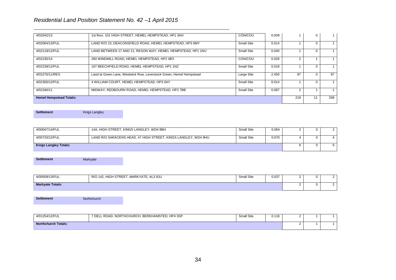| 4/02042/13                     | 1st floor, 101 HIGH STREET, HEMEL HEMPSTEAD, HP1 3AH                | CON/COU    | 0.009 |    | 0 |    |
|--------------------------------|---------------------------------------------------------------------|------------|-------|----|---|----|
| 4/02064/13/FUL                 | LAND R/O 23, DEACONSFIELD ROAD, HEMEL HEMPSTEAD, HP3 9MY            | Small Site | 0.014 |    |   |    |
| 4/02119/12/FUL                 | LAND BETWEEN 17 AND 21, RESON WAY, HEMEL HEMPSTEAD, HP1 1NU         | Small Site | 0.040 |    |   |    |
| 4/02235/14                     | 260 WINDMILL ROAD. HEMEL HEMPSTEAD. HP2 4BX                         | CON/COU    | 0.026 |    |   |    |
| 4/02239/12/FUL                 | 107 BEECHFIELD ROAD, HEMEL HEMPSTEAD, HP1 1NZ                       | Small Site | 0.018 |    |   |    |
| 4/02276/11/RES                 | Land at Green Lane, Westwick Row, Leverstock Green, Hemel Hempstead | Large Site | 2.450 | 87 |   | 87 |
| 4/02300/12/FUL                 | 4 WILLIAM COURT. HEMEL HEMPSTEAD. HP3 0AY                           | Small Site | 0.014 |    |   |    |
| 4/02340/11                     | MIDWAY, REDBOURN ROAD, HEMEL HEMPSTEAD, HP2 7BB                     | Small Site | 0.087 |    |   |    |
| <b>Hemel Hempstead Totals:</b> | 219                                                                 | 11         | 208   |    |   |    |

**Settlement** Kings Langley

| 4/00047/14/FUL               | 14A, HIGH STREET, KINGS LANGLEY, WD4 8BH                       | Small Site | 0.064 | O |  |
|------------------------------|----------------------------------------------------------------|------------|-------|---|--|
| 4/00733/12/FUL               | LAND R/O SARACENS HEAD, 47 HIGH STREET, KINGS LANGLEY, WD4 9HU | Small Site | 0.070 | 0 |  |
| <b>Kings Langley Totals:</b> | 0                                                              |            |       |   |  |

**Settlement** Markyate

| 4/00509/13/FUL          | <b>HIGH STREET</b><br>R/O<br>, MARKYATE<br>HIGH<br>. AL3 8JU<br>142. | <b>Small Site</b> | 0.037 | . . |  |
|-------------------------|----------------------------------------------------------------------|-------------------|-------|-----|--|
| <b>Markyate Totals:</b> |                                                                      |                   |       | . . |  |

**Settlement** Northchurch

| 4/01254/12/FUL             | 7 DELL ROAD, NORTHCHURCH, BERKHAMSTED, HP4 3SP | <b>Small Site</b> | 0.116 |  |  |
|----------------------------|------------------------------------------------|-------------------|-------|--|--|
| <b>Northchurch Totals:</b> |                                                |                   |       |  |  |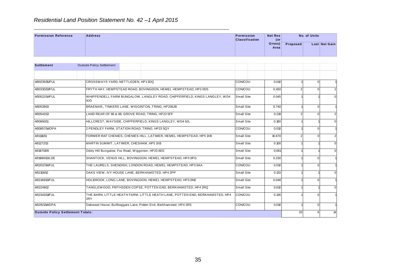|                             | Residential Land Position Statement No. 42 -1 April 2015 |  |  |  |  |                                            |                       |                |          |  |               |
|-----------------------------|----------------------------------------------------------|--|--|--|--|--------------------------------------------|-----------------------|----------------|----------|--|---------------|
| <b>Permission Reference</b> | <b>Address</b>                                           |  |  |  |  | <b>Permission</b><br><b>Classification</b> | <b>Net Res</b><br>(or | No. of Units   |          |  |               |
|                             |                                                          |  |  |  |  |                                            |                       | Gross)<br>Area | Proposed |  | Lost Net Gain |
|                             |                                                          |  |  |  |  |                                            |                       |                |          |  |               |
| <b>Settlement</b>           | <b>Outside Policy Settlement</b>                         |  |  |  |  |                                            |                       |                |          |  |               |
|                             |                                                          |  |  |  |  |                                            |                       |                |          |  |               |

| Gross)<br>Proposed<br>Area<br><b>Settlement</b><br><b>Outside Policy Settlement</b><br>4/00235/15/FUL<br><b>CON/COU</b><br>CROSSWAYS YARD, NETTLEDEN, HP13DQ<br>0.010<br>$\pmb{0}$<br>FRYTH HAY, HEMPSTEAD ROAD, BOVINGDON, HEMEL HEMPSTEAD, HP3 0DS<br>$\mathbf 0$<br>4/00330/13/FUL<br>CON/COU<br>0.450<br>$\overline{2}$<br>4/00522/14/FUL<br>WHIPPENDELL FARM BUNGALOW, LANGLEY ROAD, CHIPPERFIELD, KINGS LANGLEY, WD4<br><b>Small Site</b><br>0.045<br>9JG<br>4/00539/13<br>BRAEMAR,, TINKERS LANE, WIGGINTON, TRING, HP236JB<br>Small Site<br>$\mathbf 0$<br>0.740<br>4/00542/13<br>Small Site<br>LAND REAR OF 96 & 98, GROVE ROAD, TRING, HP23 5FF<br>0.219<br>$\mathbf 0$<br>2<br>4/00660/11<br>HILLCREST, WAYSIDE, CHIPPERFIELD, KINGS LANGLEY, WD4 9JL<br>Small Site<br>0.180<br>4/00857/14/OPA<br>2 PENDLEY FARM, STATION ROAD, TRING, HP23 5QY<br>CON/COU<br>$\mathbf 0$<br>0.010<br>FORMER RAF CHENIES, CHENIES HILL, LATIMER, HEMEL HEMPSTEAD, HP5 1XB<br>4/01116/11<br>Small Site<br>16.670<br>$\mathbf 0$<br>$\overline{2}$<br>Small Site<br>4/01272/13<br>MARTIN SUMMIT, LATIMER, CHESHAM, HP5 1XB<br>0.100<br>Oddy Hill Bungalow, Fox Road, Wigginton, HP23 6EE<br>4/01670/09<br>Small Site<br>0.061<br>SHANTOCK, VENUS HILL, BOVINGDON, HEMEL HEMPSTEAD, HP3 0PG<br>4/01680/13/LDE<br>Small Site<br>0.230<br>$\mathbf 0$<br>4/02017/14/FUL<br>THE LAURELS, SHENDISH, LONDON ROAD, HEMEL HEMPSTEAD, HP3 0AA<br>CON/COU<br>0.010<br>$\mathbf 0$<br>4/02108/12<br>OAKS VIEW, IVY HOUSE LANE, BERKHAMSTED, HP4 2PP<br>Small Site<br>0.120<br>4/02149/13/FUL<br>HOLBROOK, LONG LANE, BOVINGDON, HEMEL HEMPSTEAD, HP3 ONE<br>Small Site<br>0.048<br>$\mathbf 0$<br>4/02249/12<br>TANGLEWOOD, FRITHSDEN COPSE, POTTEN END, BERKHAMSTED, HP4 2RQ<br>Small Site<br>0.610<br>4/02343/11/FUL<br>THE BARN, LITTLE HEATH FARM, LITTLE HEATH LANE, POTTEN END, BERKHAMSTED, HP4<br><b>CON/COU</b><br>$\mathbf 0$<br>0.136<br>2RY | <b>Permission Reference</b> | <b>Address</b>                                                    | <b>Permission</b><br><b>Classification</b> | <b>Net Res</b><br>$($ or | No. of Units |                  |
|---------------------------------------------------------------------------------------------------------------------------------------------------------------------------------------------------------------------------------------------------------------------------------------------------------------------------------------------------------------------------------------------------------------------------------------------------------------------------------------------------------------------------------------------------------------------------------------------------------------------------------------------------------------------------------------------------------------------------------------------------------------------------------------------------------------------------------------------------------------------------------------------------------------------------------------------------------------------------------------------------------------------------------------------------------------------------------------------------------------------------------------------------------------------------------------------------------------------------------------------------------------------------------------------------------------------------------------------------------------------------------------------------------------------------------------------------------------------------------------------------------------------------------------------------------------------------------------------------------------------------------------------------------------------------------------------------------------------------------------------------------------------------------------------------------------------------------------------------------------------------------------------------------------------------------------|-----------------------------|-------------------------------------------------------------------|--------------------------------------------|--------------------------|--------------|------------------|
|                                                                                                                                                                                                                                                                                                                                                                                                                                                                                                                                                                                                                                                                                                                                                                                                                                                                                                                                                                                                                                                                                                                                                                                                                                                                                                                                                                                                                                                                                                                                                                                                                                                                                                                                                                                                                                                                                                                                       |                             |                                                                   |                                            |                          |              | Lost Net Gain    |
|                                                                                                                                                                                                                                                                                                                                                                                                                                                                                                                                                                                                                                                                                                                                                                                                                                                                                                                                                                                                                                                                                                                                                                                                                                                                                                                                                                                                                                                                                                                                                                                                                                                                                                                                                                                                                                                                                                                                       |                             |                                                                   |                                            |                          |              |                  |
|                                                                                                                                                                                                                                                                                                                                                                                                                                                                                                                                                                                                                                                                                                                                                                                                                                                                                                                                                                                                                                                                                                                                                                                                                                                                                                                                                                                                                                                                                                                                                                                                                                                                                                                                                                                                                                                                                                                                       |                             |                                                                   |                                            |                          |              |                  |
|                                                                                                                                                                                                                                                                                                                                                                                                                                                                                                                                                                                                                                                                                                                                                                                                                                                                                                                                                                                                                                                                                                                                                                                                                                                                                                                                                                                                                                                                                                                                                                                                                                                                                                                                                                                                                                                                                                                                       |                             |                                                                   |                                            |                          |              |                  |
|                                                                                                                                                                                                                                                                                                                                                                                                                                                                                                                                                                                                                                                                                                                                                                                                                                                                                                                                                                                                                                                                                                                                                                                                                                                                                                                                                                                                                                                                                                                                                                                                                                                                                                                                                                                                                                                                                                                                       |                             |                                                                   |                                            |                          |              |                  |
|                                                                                                                                                                                                                                                                                                                                                                                                                                                                                                                                                                                                                                                                                                                                                                                                                                                                                                                                                                                                                                                                                                                                                                                                                                                                                                                                                                                                                                                                                                                                                                                                                                                                                                                                                                                                                                                                                                                                       |                             |                                                                   |                                            |                          |              | 2 <sub>1</sub>   |
|                                                                                                                                                                                                                                                                                                                                                                                                                                                                                                                                                                                                                                                                                                                                                                                                                                                                                                                                                                                                                                                                                                                                                                                                                                                                                                                                                                                                                                                                                                                                                                                                                                                                                                                                                                                                                                                                                                                                       |                             |                                                                   |                                            |                          |              | $\boldsymbol{0}$ |
|                                                                                                                                                                                                                                                                                                                                                                                                                                                                                                                                                                                                                                                                                                                                                                                                                                                                                                                                                                                                                                                                                                                                                                                                                                                                                                                                                                                                                                                                                                                                                                                                                                                                                                                                                                                                                                                                                                                                       |                             |                                                                   |                                            |                          |              |                  |
|                                                                                                                                                                                                                                                                                                                                                                                                                                                                                                                                                                                                                                                                                                                                                                                                                                                                                                                                                                                                                                                                                                                                                                                                                                                                                                                                                                                                                                                                                                                                                                                                                                                                                                                                                                                                                                                                                                                                       |                             |                                                                   |                                            |                          |              | 2 <sup>1</sup>   |
|                                                                                                                                                                                                                                                                                                                                                                                                                                                                                                                                                                                                                                                                                                                                                                                                                                                                                                                                                                                                                                                                                                                                                                                                                                                                                                                                                                                                                                                                                                                                                                                                                                                                                                                                                                                                                                                                                                                                       |                             |                                                                   |                                            |                          |              | $\mathbf{0}$     |
|                                                                                                                                                                                                                                                                                                                                                                                                                                                                                                                                                                                                                                                                                                                                                                                                                                                                                                                                                                                                                                                                                                                                                                                                                                                                                                                                                                                                                                                                                                                                                                                                                                                                                                                                                                                                                                                                                                                                       |                             |                                                                   |                                            |                          |              |                  |
|                                                                                                                                                                                                                                                                                                                                                                                                                                                                                                                                                                                                                                                                                                                                                                                                                                                                                                                                                                                                                                                                                                                                                                                                                                                                                                                                                                                                                                                                                                                                                                                                                                                                                                                                                                                                                                                                                                                                       |                             |                                                                   |                                            |                          |              | 2 <sup>1</sup>   |
|                                                                                                                                                                                                                                                                                                                                                                                                                                                                                                                                                                                                                                                                                                                                                                                                                                                                                                                                                                                                                                                                                                                                                                                                                                                                                                                                                                                                                                                                                                                                                                                                                                                                                                                                                                                                                                                                                                                                       |                             |                                                                   |                                            |                          |              | $\overline{0}$   |
|                                                                                                                                                                                                                                                                                                                                                                                                                                                                                                                                                                                                                                                                                                                                                                                                                                                                                                                                                                                                                                                                                                                                                                                                                                                                                                                                                                                                                                                                                                                                                                                                                                                                                                                                                                                                                                                                                                                                       |                             |                                                                   |                                            |                          |              | $\boldsymbol{0}$ |
|                                                                                                                                                                                                                                                                                                                                                                                                                                                                                                                                                                                                                                                                                                                                                                                                                                                                                                                                                                                                                                                                                                                                                                                                                                                                                                                                                                                                                                                                                                                                                                                                                                                                                                                                                                                                                                                                                                                                       |                             |                                                                   |                                            |                          |              |                  |
|                                                                                                                                                                                                                                                                                                                                                                                                                                                                                                                                                                                                                                                                                                                                                                                                                                                                                                                                                                                                                                                                                                                                                                                                                                                                                                                                                                                                                                                                                                                                                                                                                                                                                                                                                                                                                                                                                                                                       |                             |                                                                   |                                            |                          |              |                  |
|                                                                                                                                                                                                                                                                                                                                                                                                                                                                                                                                                                                                                                                                                                                                                                                                                                                                                                                                                                                                                                                                                                                                                                                                                                                                                                                                                                                                                                                                                                                                                                                                                                                                                                                                                                                                                                                                                                                                       |                             |                                                                   |                                            |                          |              | $\overline{0}$   |
|                                                                                                                                                                                                                                                                                                                                                                                                                                                                                                                                                                                                                                                                                                                                                                                                                                                                                                                                                                                                                                                                                                                                                                                                                                                                                                                                                                                                                                                                                                                                                                                                                                                                                                                                                                                                                                                                                                                                       |                             |                                                                   |                                            |                          |              |                  |
|                                                                                                                                                                                                                                                                                                                                                                                                                                                                                                                                                                                                                                                                                                                                                                                                                                                                                                                                                                                                                                                                                                                                                                                                                                                                                                                                                                                                                                                                                                                                                                                                                                                                                                                                                                                                                                                                                                                                       |                             |                                                                   |                                            |                          |              | $\boldsymbol{0}$ |
|                                                                                                                                                                                                                                                                                                                                                                                                                                                                                                                                                                                                                                                                                                                                                                                                                                                                                                                                                                                                                                                                                                                                                                                                                                                                                                                                                                                                                                                                                                                                                                                                                                                                                                                                                                                                                                                                                                                                       |                             |                                                                   |                                            |                          |              |                  |
|                                                                                                                                                                                                                                                                                                                                                                                                                                                                                                                                                                                                                                                                                                                                                                                                                                                                                                                                                                                                                                                                                                                                                                                                                                                                                                                                                                                                                                                                                                                                                                                                                                                                                                                                                                                                                                                                                                                                       | 4/02921/14/OPA              | Oakwood House, Bullbeggars Lane, Potten End, Berkhamsted, HP4 2RS | CON/COU                                    | 0.010                    | $\pmb{0}$    |                  |
| <b>Outside Policy Settlement Totals:</b><br>20<br>6                                                                                                                                                                                                                                                                                                                                                                                                                                                                                                                                                                                                                                                                                                                                                                                                                                                                                                                                                                                                                                                                                                                                                                                                                                                                                                                                                                                                                                                                                                                                                                                                                                                                                                                                                                                                                                                                                   |                             |                                                                   |                                            |                          |              | 14               |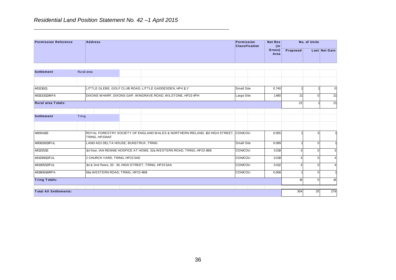|                             | $\overline{1}$ to divide the control of the control of $\overline{1}$ of $\overline{2}$ $\overline{1}$ $\overline{2}$ $\overline{1}$ $\overline{2}$ $\overline{1}$ $\overline{2}$ $\overline{1}$ $\overline{2}$ $\overline{1}$ $\overline{2}$ $\overline{1}$ $\overline{2}$ $\overline{1}$ $\overline{2}$ $\overline{1}$ $\overline{2}$ $\overline{1}$ |  |  |  |  |                                     |                       |                 |  |               |  |
|-----------------------------|--------------------------------------------------------------------------------------------------------------------------------------------------------------------------------------------------------------------------------------------------------------------------------------------------------------------------------------------------------|--|--|--|--|-------------------------------------|-----------------------|-----------------|--|---------------|--|
| <b>Permission Reference</b> | <b>Address</b>                                                                                                                                                                                                                                                                                                                                         |  |  |  |  | Permission<br><b>Classification</b> | <b>Net Res</b><br>(or | No. of Units    |  |               |  |
|                             |                                                                                                                                                                                                                                                                                                                                                        |  |  |  |  |                                     | Gross)<br>Area        | <b>Proposed</b> |  | Lost Net Gain |  |
|                             |                                                                                                                                                                                                                                                                                                                                                        |  |  |  |  |                                     |                       |                 |  |               |  |
| <b>Settlement</b>           | Rural area                                                                                                                                                                                                                                                                                                                                             |  |  |  |  |                                     |                       |                 |  |               |  |
|                             | the contract of the contract of the contract of                                                                                                                                                                                                                                                                                                        |  |  |  |  |                                     |                       |                 |  |               |  |

| <b>Permission Reference</b>   |       | <b>Address</b> |                                       |  |                                                                                     | Permission<br><b>Classification</b> |       | <b>Net Res</b><br>(or |                | No. of Units   |                |
|-------------------------------|-------|----------------|---------------------------------------|--|-------------------------------------------------------------------------------------|-------------------------------------|-------|-----------------------|----------------|----------------|----------------|
|                               |       |                |                                       |  |                                                                                     |                                     |       | Gross)<br>Area        | Proposed       |                | Lost Net Gain  |
|                               |       |                |                                       |  |                                                                                     |                                     |       |                       |                |                |                |
| <b>Settlement</b>             |       | Rural area     |                                       |  |                                                                                     |                                     |       |                       |                |                |                |
|                               |       |                |                                       |  |                                                                                     |                                     |       |                       |                |                |                |
| 4/01210/11                    |       |                |                                       |  | LITTLE GLEBE, GOLF CLUB ROAD, LITTLE GADDESDEN, HP4 1LY                             | Small Site<br>0.740                 |       |                       |                |                | $\overline{0}$ |
| 4/01533/12/MFA                |       |                |                                       |  | DIXONS WHARF, DIXONS GAP, WINGRAVE ROAD, WILSTONE, HP23 4PH                         | Large Site                          |       | 1.480                 | 21             | $\mathbf 0$    | 21             |
| <b>Rural area Totals:</b>     |       |                |                                       |  |                                                                                     |                                     |       |                       | 22             |                | 21             |
|                               |       |                |                                       |  |                                                                                     |                                     |       |                       |                |                |                |
| <b>Settlement</b>             | Tring |                |                                       |  |                                                                                     |                                     |       |                       |                |                |                |
|                               |       |                |                                       |  |                                                                                     |                                     |       |                       |                |                |                |
| 4/00541/13                    |       |                | TRING, HP234AF                        |  | ROYAL FORESTRY SOCIETY OF ENGLAND WALES & NORTHERN IRELAND, 102 HIGH STREET, CONCOU |                                     | 0.055 |                       | $\mathbf 0$    | $\overline{1}$ |                |
| 4/00828/13/FUL                |       |                | LAND ADJ DELTA HOUSE, BUNSTRUX, TRING |  |                                                                                     | Small Site                          |       | 0.099                 |                | $\mathbf 0$    | 1              |
| 4/01255/13                    |       |                |                                       |  | 1st floor, IAN RENNIE HOSPICE AT HOME, 52a WESTERN ROAD, TRING, HP23 4BB            | CON/COU                             |       | 0.019                 | 3 <sup>1</sup> | $\overline{0}$ | $\overline{3}$ |
| 4/01299/12/FUL                |       |                | 2 CHURCH YARD, TRING, HP23 5AE        |  |                                                                                     | <b>CON/COU</b><br>0.019             |       |                       | 4              | $\overline{0}$ | $\overline{4}$ |
| 4/01305/12/FUL                |       |                |                                       |  | 1st & 2nd floors, 33 - 34, HIGH STREET, TRING, HP23 5AA                             | <b>CON/COU</b><br>0.012             |       |                       | 41             | 0              | $\overline{4}$ |
| 4/01906/14/RPA                |       |                | 56a WESTERN ROAD, TRING, HP23 4BB     |  |                                                                                     | CON/COU<br>0.008                    |       |                       |                | $\overline{0}$ | $\mathbf{1}$   |
| <b>Tring Totals:</b>          |       |                |                                       |  |                                                                                     |                                     |       |                       | 14             | $\mathbf 0$    | 14             |
| <b>Total All Settlements:</b> |       |                |                                       |  |                                                                                     |                                     |       |                       | 304            | 25             | 279            |
|                               |       |                |                                       |  |                                                                                     |                                     |       |                       |                |                |                |
|                               |       |                |                                       |  |                                                                                     |                                     |       |                       |                |                |                |
|                               |       |                |                                       |  |                                                                                     |                                     |       |                       |                |                |                |
|                               |       |                |                                       |  |                                                                                     |                                     |       |                       |                |                |                |
|                               |       |                |                                       |  |                                                                                     |                                     |       |                       |                |                |                |
|                               |       |                |                                       |  |                                                                                     |                                     |       |                       |                |                |                |
|                               |       |                |                                       |  |                                                                                     |                                     |       |                       |                |                |                |
|                               |       |                |                                       |  |                                                                                     |                                     |       |                       |                |                |                |
|                               |       |                |                                       |  | 36                                                                                  |                                     |       |                       |                |                |                |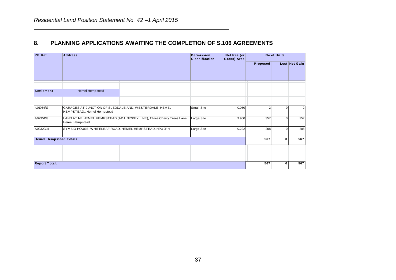#### **8. PLANNING APPLICATIONS AWAITING THE COMPLETION OF S.106 AGREEMENTS**

| <b>PP</b> Ref                  | <b>Address</b> |                        |                             |                                                                         | Permission<br><b>Classification</b> | Net Res (or<br>Gross) Area | <b>No of Units</b> |          |                         |  |  |
|--------------------------------|----------------|------------------------|-----------------------------|-------------------------------------------------------------------------|-------------------------------------|----------------------------|--------------------|----------|-------------------------|--|--|
|                                |                |                        |                             |                                                                         |                                     |                            | Proposed           |          | Lost Net Gain           |  |  |
|                                |                |                        |                             |                                                                         |                                     |                            |                    |          |                         |  |  |
| <b>Settlement</b>              |                | <b>Hemel Hempstead</b> |                             |                                                                         |                                     |                            |                    |          |                         |  |  |
|                                |                |                        |                             |                                                                         |                                     |                            |                    |          |                         |  |  |
| 4/01964/12                     |                |                        | HEMPSTEAD,, Hemel Hempstead | GARAGES AT JUNCTION OF SLEDDALE AND, WESTERDALE, HEMEL                  | <b>Small Site</b>                   | 0.050                      |                    | 0        | $\overline{\mathbf{c}}$ |  |  |
| 4/02351/13                     |                | <b>Hemel Hempstead</b> |                             | LAND AT NE HEMEL HEMPSTEAD (ADJ. NICKEY LINE), Three Cherry Trees Lane, | Large Site                          | 9.900                      | 357                | $\Omega$ | 357                     |  |  |
| 4/02320/14                     |                |                        |                             | SYMBIO HOUSE, WHITELEAF ROAD, HEMEL HEMPSTEAD, HP3 9PH                  | Large Site                          | 0.222                      | 208                | $\Omega$ | 208                     |  |  |
| <b>Hemel Hempstead Totals:</b> |                |                        |                             |                                                                         |                                     |                            | 567                | 0        | 567                     |  |  |
|                                |                |                        |                             |                                                                         |                                     |                            |                    |          |                         |  |  |
|                                |                |                        |                             |                                                                         |                                     |                            |                    |          |                         |  |  |
| <b>Report Total:</b>           |                |                        |                             |                                                                         |                                     |                            | 567                | 0        | 567                     |  |  |